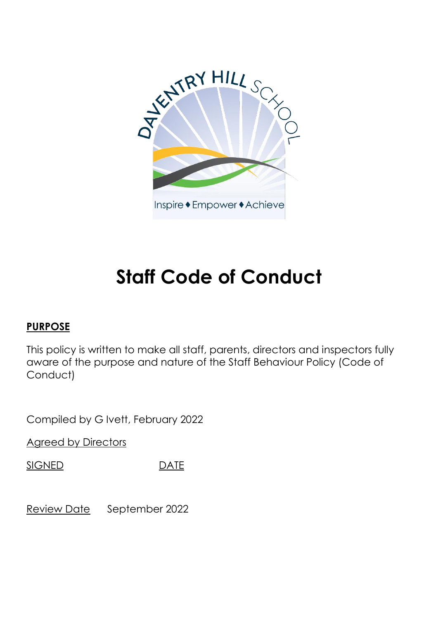

Inspire ◆ Empower ◆ Achieve

# **Staff Code of Conduct**

## **PURPOSE**

This policy is written to make all staff, parents, directors and inspectors fully aware of the purpose and nature of the Staff Behaviour Policy (Code of Conduct)

Compiled by G Ivett, February 2022

Agreed by Directors

SIGNED DATE

Review Date September 2022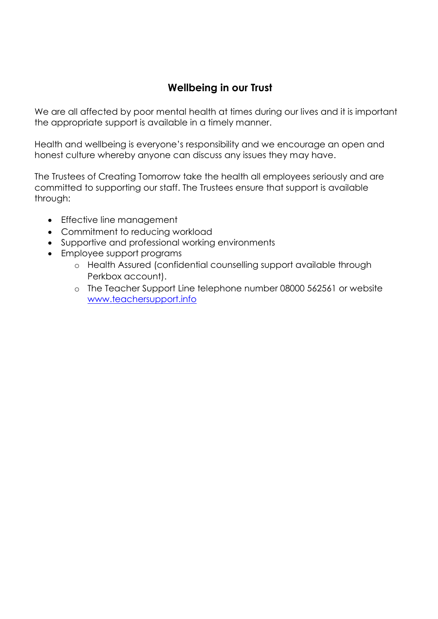# **Wellbeing in our Trust**

We are all affected by poor mental health at times during our lives and it is important the appropriate support is available in a timely manner.

Health and wellbeing is everyone's responsibility and we encourage an open and honest culture whereby anyone can discuss any issues they may have.

The Trustees of Creating Tomorrow take the health all employees seriously and are committed to supporting our staff. The Trustees ensure that support is available through:

- Effective line management
- Commitment to reducing workload
- Supportive and professional working environments
- Employee support programs
	- o Health Assured (confidential counselling support available through Perkbox account).
	- o The Teacher Support Line telephone number 08000 562561 or website [www.teachersupport.info](http://www.teachersupport.info/)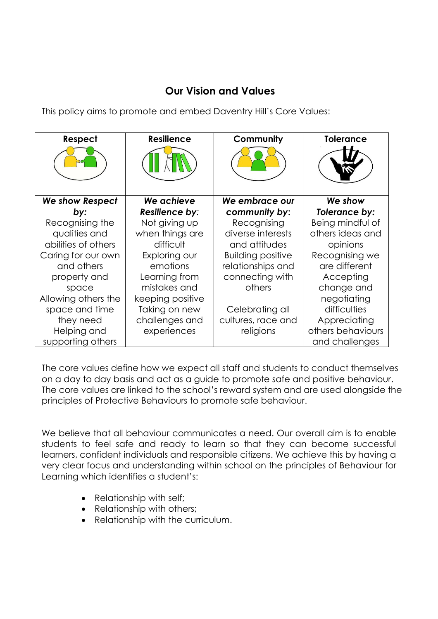# **Our Vision and Values**

This policy aims to promote and embed Daventry Hill's Core Values:

| Respect                | <b>Resilience</b> | Community                | <b>Tolerance</b>  |
|------------------------|-------------------|--------------------------|-------------------|
|                        |                   |                          |                   |
| <b>We show Respect</b> | We achieve        | We embrace our           | We show           |
| by:                    | Resilience by:    | community by:            | Tolerance by:     |
| Recognising the        | Not giving up     | Recognising              | Being mindful of  |
| qualities and          | when things are   | diverse interests        | others ideas and  |
| abilities of others    | difficult         | and attitudes            | opinions          |
| Caring for our own     | Exploring our     | <b>Building positive</b> | Recognising we    |
| and others             | emotions          | relationships and        | are different     |
| property and           | Learning from     | connecting with          | Accepting         |
| space                  | mistakes and      | others                   | change and        |
| Allowing others the    | keeping positive  |                          | negotiating       |
| space and time         | Taking on new     | Celebrating all          | difficulties      |
| they need              | challenges and    | cultures, race and       | Appreciating      |
| Helping and            | experiences       | religions                | others behaviours |
| supporting others      |                   |                          | and challenges    |

The core values define how we expect all staff and students to conduct themselves on a day to day basis and act as a guide to promote safe and positive behaviour. The core values are linked to the school's reward system and are used alongside the principles of Protective Behaviours to promote safe behaviour.

We believe that all behaviour communicates a need. Our overall aim is to enable students to feel safe and ready to learn so that they can become successful learners, confident individuals and responsible citizens. We achieve this by having a very clear focus and understanding within school on the principles of Behaviour for Learning which identifies a student's:

- Relationship with self;
- Relationship with others;
- Relationship with the curriculum.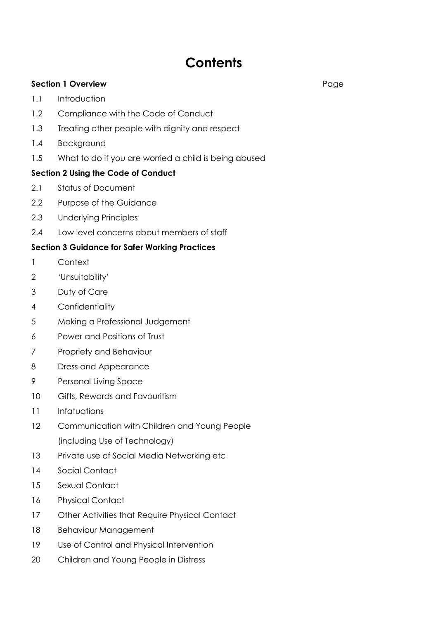# **Contents**

## **Section 1 Overview** Page

- 1.1 Introduction
- 1.2 Compliance with the Code of Conduct
- 1.3 Treating other people with dignity and respect
- 1.4 Background
- 1.5 What to do if you are worried a child is being abused

## **Section 2 Using the Code of Conduct**

- 2.1 Status of Document
- 2.2 Purpose of the Guidance
- 2.3 Underlying Principles
- 2.4 Low level concerns about members of staff

## **Section 3 Guidance for Safer Working Practices**

- 1 Context
- 2 'Unsuitability'
- 3 Duty of Care
- 4 Confidentiality
- 5 Making a Professional Judgement
- 6 Power and Positions of Trust
- 7 Propriety and Behaviour
- 8 Dress and Appearance
- 9 Personal Living Space
- 10 Gifts, Rewards and Favouritism
- 11 Infatuations
- 12 Communication with Children and Young People (including Use of Technology)
- 13 Private use of Social Media Networking etc
- 14 Social Contact
- 15 Sexual Contact
- 16 Physical Contact
- 17 Other Activities that Require Physical Contact
- 18 Behaviour Management
- 19 Use of Control and Physical Intervention
- 20 Children and Young People in Distress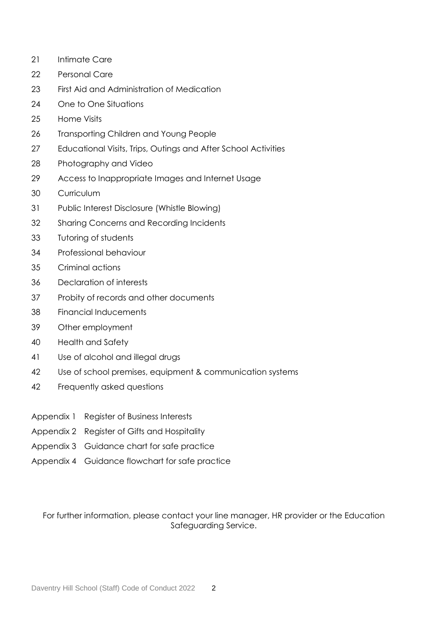- Intimate Care
- Personal Care
- First Aid and Administration of Medication
- One to One Situations
- Home Visits
- Transporting Children and Young People
- Educational Visits, Trips, Outings and After School Activities
- Photography and Video
- Access to Inappropriate Images and Internet Usage
- Curriculum
- Public Interest Disclosure (Whistle Blowing)
- Sharing Concerns and Recording Incidents
- Tutoring of students
- 34 Professional behaviour
- Criminal actions
- Declaration of interests
- Probity of records and other documents
- Financial Inducements
- Other employment
- Health and Safety
- Use of alcohol and illegal drugs
- Use of school premises, equipment & communication systems
- Frequently asked questions
- Appendix 1 Register of Business Interests
- Appendix 2 Register of Gifts and Hospitality
- Appendix 3 Guidance chart for safe practice
- Appendix 4 Guidance flowchart for safe practice

For further information, please contact your line manager, HR provider or the Education Safeguarding Service.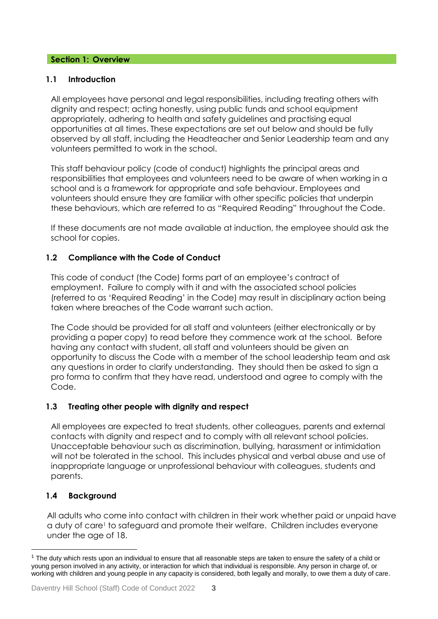## **Section 1: Overview**

## **1.1 Introduction**

All employees have personal and legal responsibilities, including treating others with dignity and respect; acting honestly, using public funds and school equipment appropriately, adhering to health and safety guidelines and practising equal opportunities at all times. These expectations are set out below and should be fully observed by all staff, including the Headteacher and Senior Leadership team and any volunteers permitted to work in the school.

This staff behaviour policy (code of conduct) highlights the principal areas and responsibilities that employees and volunteers need to be aware of when working in a school and is a framework for appropriate and safe behaviour. Employees and volunteers should ensure they are familiar with other specific policies that underpin these behaviours, which are referred to as "Required Reading" throughout the Code.

If these documents are not made available at induction, the employee should ask the school for copies.

## **1.2 Compliance with the Code of Conduct**

This code of conduct (the Code) forms part of an employee's contract of employment. Failure to comply with it and with the associated school policies (referred to as 'Required Reading' in the Code) may result in disciplinary action being taken where breaches of the Code warrant such action.

The Code should be provided for all staff and volunteers (either electronically or by providing a paper copy) to read before they commence work at the school. Before having any contact with student, all staff and volunteers should be given an opportunity to discuss the Code with a member of the school leadership team and ask any questions in order to clarify understanding. They should then be asked to sign a pro forma to confirm that they have read, understood and agree to comply with the Code.

## **1.3 Treating other people with dignity and respect**

All employees are expected to treat students, other colleagues, parents and external contacts with dignity and respect and to comply with all relevant school policies. Unacceptable behaviour such as discrimination, bullying, harassment or intimidation will not be tolerated in the school. This includes physical and verbal abuse and use of inappropriate language or unprofessional behaviour with colleagues, students and parents.

## **1.4 Background**

l

All adults who come into contact with children in their work whether paid or unpaid have a duty of care<sup>1</sup> to safeguard and promote their welfare. Children includes everyone under the age of 18.

<sup>&</sup>lt;sup>1</sup> The duty which rests upon an individual to ensure that all reasonable steps are taken to ensure the safety of a child or young person involved in any activity, or interaction for which that individual is responsible. Any person in charge of, or working with children and young people in any capacity is considered, both legally and morally, to owe them a duty of care.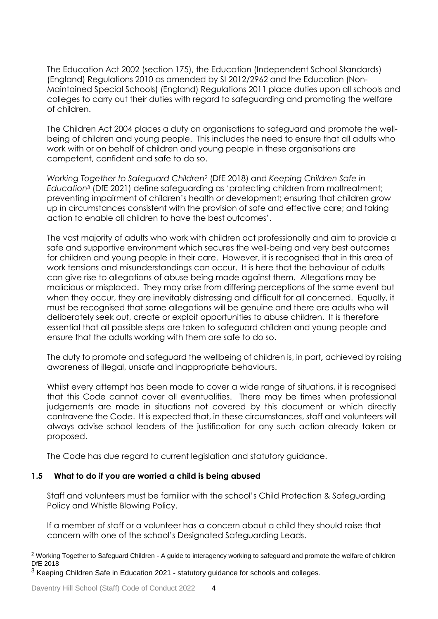The Education Act 2002 (section 175), the Education (Independent School Standards) (England) Regulations 2010 as amended by SI 2012/2962 and the Education (Non-Maintained Special Schools) (England) Regulations 2011 place duties upon all schools and colleges to carry out their duties with regard to safeguarding and promoting the welfare of children.

The Children Act 2004 places a duty on organisations to safeguard and promote the wellbeing of children and young people. This includes the need to ensure that all adults who work with or on behalf of children and young people in these organisations are competent, confident and safe to do so.

*Working Together to Safeguard Children*<sup>2</sup> (DfE 2018) and *Keeping Children Safe in Education*<sup>3</sup> (DfE 2021) define safeguarding as 'protecting children from maltreatment; preventing impairment of children's health or development; ensuring that children grow up in circumstances consistent with the provision of safe and effective care; and taking action to enable all children to have the best outcomes'.

The vast majority of adults who work with children act professionally and aim to provide a safe and supportive environment which secures the well-being and very best outcomes for children and young people in their care. However, it is recognised that in this area of work tensions and misunderstandings can occur. It is here that the behaviour of adults can give rise to allegations of abuse being made against them. Allegations may be malicious or misplaced. They may arise from differing perceptions of the same event but when they occur, they are inevitably distressing and difficult for all concerned. Equally, it must be recognised that some allegations will be genuine and there are adults who will deliberately seek out, create or exploit opportunities to abuse children. It is therefore essential that all possible steps are taken to safeguard children and young people and ensure that the adults working with them are safe to do so.

The duty to promote and safeguard the wellbeing of children is, in part**,** achieved by raising awareness of illegal, unsafe and inappropriate behaviours.

Whilst every attempt has been made to cover a wide range of situations, it is recognised that this Code cannot cover all eventualities. There may be times when professional judgements are made in situations not covered by this document or which directly contravene the Code. It is expected that, in these circumstances, staff and volunteers will always advise school leaders of the justification for any such action already taken or proposed.

The Code has due regard to current legislation and statutory guidance.

## **1.5 What to do if you are worried a child is being abused**

Staff and volunteers must be familiar with the school's Child Protection & Safeguarding Policy and Whistle Blowing Policy.

If a member of staff or a volunteer has a concern about a child they should raise that concern with one of the school's Designated Safeguarding Leads.

l

<sup>&</sup>lt;sup>2</sup> Working Together to Safeguard Children - A guide to interagency working to safeguard and promote the welfare of children DfE 2018

<sup>&</sup>lt;sup>3</sup> Keeping Children Safe in Education 2021 - statutory guidance for schools and colleges.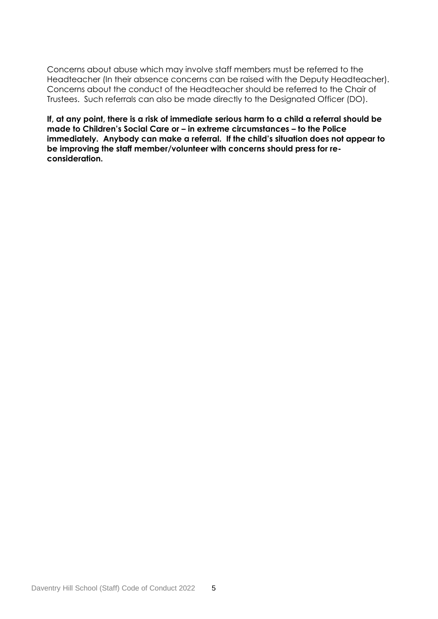Concerns about abuse which may involve staff members must be referred to the Headteacher (In their absence concerns can be raised with the Deputy Headteacher). Concerns about the conduct of the Headteacher should be referred to the Chair of Trustees. Such referrals can also be made directly to the Designated Officer (DO).

**If, at any point, there is a risk of immediate serious harm to a child a referral should be made to Children's Social Care or – in extreme circumstances – to the Police immediately. Anybody can make a referral. If the child's situation does not appear to be improving the staff member/volunteer with concerns should press for reconsideration.**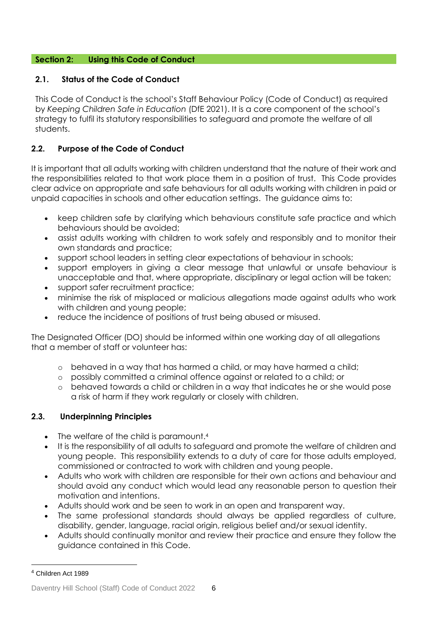## **Section 2: Using this Code of Conduct**

## **2.1. Status of the Code of Conduct**

This Code of Conduct is the school's Staff Behaviour Policy (Code of Conduct) as required by *Keeping Children Safe in Education* (DfE 2021). It is a core component of the school's strategy to fulfil its statutory responsibilities to safeguard and promote the welfare of all students.

## **2.2. Purpose of the Code of Conduct**

It is important that all adults working with children understand that the nature of their work and the responsibilities related to that work place them in a position of trust. This Code provides clear advice on appropriate and safe behaviours for all adults working with children in paid or unpaid capacities in schools and other education settings. The guidance aims to:

- keep children safe by clarifying which behaviours constitute safe practice and which behaviours should be avoided;
- assist adults working with children to work safely and responsibly and to monitor their own standards and practice;
- support school leaders in setting clear expectations of behaviour in schools;
- support employers in giving a clear message that unlawful or unsafe behaviour is unacceptable and that, where appropriate, disciplinary or legal action will be taken;
- support safer recruitment practice;
- minimise the risk of misplaced or malicious allegations made against adults who work with children and young people;
- reduce the incidence of positions of trust being abused or misused.

The Designated Officer (DO) should be informed within one working day of all allegations that a member of staff or volunteer has:

- o behaved in a way that has harmed a child, or may have harmed a child;
- o possibly committed a criminal offence against or related to a child; or
- o behaved towards a child or children in a way that indicates he or she would pose a risk of harm if they work regularly or closely with children.

## **2.3. Underpinning Principles**

- The welfare of the child is paramount.<sup>4</sup>
- It is the responsibility of all adults to safeguard and promote the welfare of children and young people. This responsibility extends to a duty of care for those adults employed, commissioned or contracted to work with children and young people.
- Adults who work with children are responsible for their own actions and behaviour and should avoid any conduct which would lead any reasonable person to question their motivation and intentions.
- Adults should work and be seen to work in an open and transparent way.
- The same professional standards should always be applied regardless of culture, disability, gender, language, racial origin, religious belief and/or sexual identity.
- Adults should continually monitor and review their practice and ensure they follow the guidance contained in this Code.

l

<sup>4</sup> Children Act 1989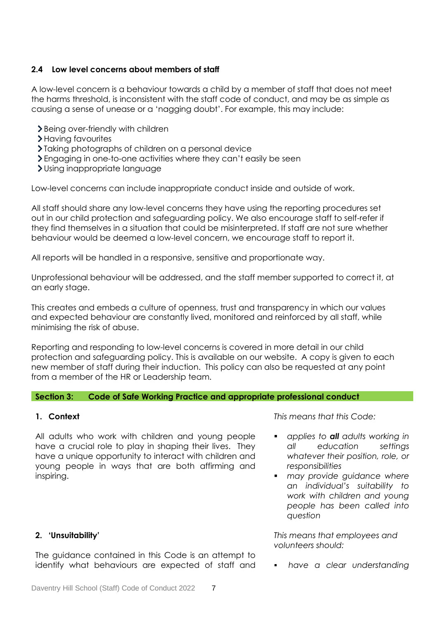## **2.4 Low level concerns about members of staff**

A low-level concern is a behaviour towards a child by a member of staff that does not meet the harms threshold, is inconsistent with the staff code of conduct, and may be as simple as causing a sense of unease or a 'nagging doubt'. For example, this may include:

- > Being over-friendly with children
- > Having favourites
- Taking photographs of children on a personal device
- Engaging in one-to-one activities where they can't easily be seen
- Using inappropriate language

Low-level concerns can include inappropriate conduct inside and outside of work.

All staff should share any low-level concerns they have using the reporting procedures set out in our child protection and safeguarding policy. We also encourage staff to self-refer if they find themselves in a situation that could be misinterpreted. If staff are not sure whether behaviour would be deemed a low-level concern, we encourage staff to report it.

All reports will be handled in a responsive, sensitive and proportionate way.

Unprofessional behaviour will be addressed, and the staff member supported to correct it, at an early stage.

This creates and embeds a culture of openness, trust and transparency in which our values and expected behaviour are constantly lived, monitored and reinforced by all staff, while minimising the risk of abuse.

Reporting and responding to low-level concerns is covered in more detail in our child protection and safeguarding policy. This is available on our website. A copy is given to each new member of staff during their induction. This policy can also be requested at any point from a member of the HR or Leadership team.

#### **Section 3: Code of Safe Working Practice and appropriate professional conduct**

## **1. Context**

All adults who work with children and young people have a crucial role to play in shaping their lives. They have a unique opportunity to interact with children and young people in ways that are both affirming and inspiring.

**2. 'Unsuitability'** 

The guidance contained in this Code is an attempt to identify what behaviours are expected of staff and *This means that this Code:*

- *applies to all adults working in all education settings whatever their position, role, or responsibilities*
- *may provide guidance where an individual's suitability to work with children and young people has been called into question*

*This means that employees and volunteers should:*

*have a clear understanding*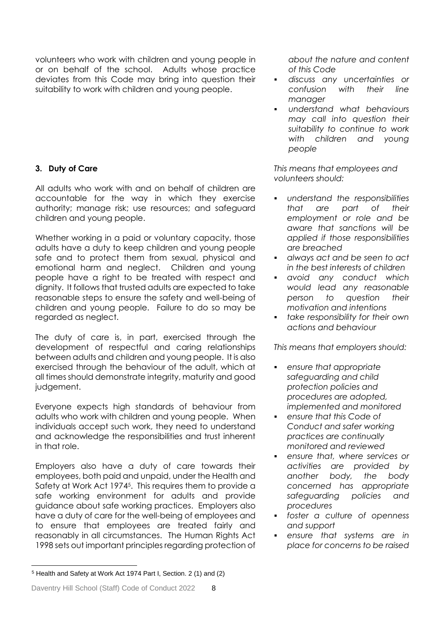volunteers who work with children and young people in or on behalf of the school. Adults whose practice deviates from this Code may bring into question their suitability to work with children and young people.

## **3. Duty of Care**

All adults who work with and on behalf of children are accountable for the way in which they exercise authority; manage risk; use resources; and safeguard children and young people.

Whether working in a paid or voluntary capacity, those adults have a duty to keep children and young people safe and to protect them from sexual, physical and emotional harm and neglect. Children and young people have a right to be treated with respect and dignity. It follows that trusted adults are expected to take reasonable steps to ensure the safety and well-being of children and young people. Failure to do so may be regarded as neglect.

The duty of care is, in part, exercised through the development of respectful and caring relationships between adults and children and young people. It is also exercised through the behaviour of the adult, which at all times should demonstrate integrity, maturity and good judgement.

Everyone expects high standards of behaviour from adults who work with children and young people. When individuals accept such work, they need to understand and acknowledge the responsibilities and trust inherent in that role.

Employers also have a duty of care towards their employees, both paid and unpaid, under the Health and Safety at Work Act 1974<sup>5</sup>. This requires them to provide a safe working environment for adults and provide guidance about safe working practices. Employers also have a duty of care for the well-being of employees and to ensure that employees are treated fairly and reasonably in all circumstances. The Human Rights Act 1998 sets out important principles regarding protection of

*about the nature and content of this Code*

- *discuss any uncertainties or confusion with their line manager*
- *understand what behaviours may call into question their suitability to continue to work with children and young people*

*This means that employees and volunteers should:*

- *understand the responsibilities that are part of their employment or role and be aware that sanctions will be applied if those responsibilities are breached*
- *always act and be seen to act in the best interests of children*
- *avoid any conduct which would lead any reasonable person to question their motivation and intentions*
- *take responsibility for their own actions and behaviour*

*This means that employers should:*

- *ensure that appropriate safeguarding and child protection policies and procedures are adopted, implemented and monitored*
- *ensure that this Code of Conduct and safer working practices are continually monitored and reviewed*
- *ensure that, where services or activities are provided by another body, the body concerned has appropriate safeguarding policies and procedures*
- *foster a culture of openness and support*
- *ensure that systems are in place for concerns to be raised*

l

<sup>5</sup> Health and Safety at Work Act 1974 Part I, Section. 2 (1) and (2)

Daventry Hill School (Staff) Code of Conduct 2022 8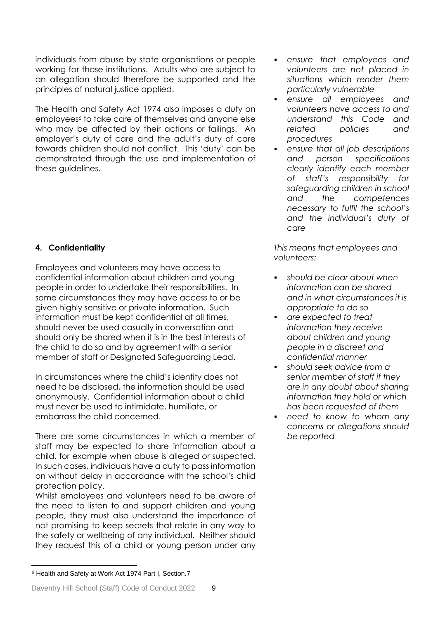individuals from abuse by state organisations or people working for those institutions. Adults who are subject to an allegation should therefore be supported and the principles of natural justice applied.

The Health and Safety Act 1974 also imposes a duty on employees<sup>6</sup> to take care of themselves and anyone else who may be affected by their actions or failings. An employer's duty of care and the adult's duty of care towards children should not conflict. This 'duty' can be demonstrated through the use and implementation of these guidelines.

## **4. Confidentiality**

Employees and volunteers may have access to confidential information about children and young people in order to undertake their responsibilities. In some circumstances they may have access to or be given highly sensitive or private information. Such information must be kept confidential at all times, should never be used casually in conversation and should only be shared when it is in the best interests of the child to do so and by agreement with a senior member of staff or Designated Safeguarding Lead.

In circumstances where the child's identity does not need to be disclosed, the information should be used anonymously. Confidential information about a child must never be used to intimidate, humiliate, or embarrass the child concerned.

There are some circumstances in which a member of staff may be expected to share information about a child, for example when abuse is alleged or suspected. In such cases, individuals have a duty to pass information on without delay in accordance with the school's child protection policy.

Whilst employees and volunteers need to be aware of the need to listen to and support children and young people, they must also understand the importance of not promising to keep secrets that relate in any way to the safety or wellbeing of any individual. Neither should they request this of a child or young person under any  *ensure that employees and volunteers are not placed in situations which render them particularly vulnerable*

- *ensure all employees and volunteers have access to and understand this Code and related policies and procedures*
- *ensure that all job descriptions and person specifications clearly identify each member of staff's responsibility for safeguarding children in school and the competences necessary to fulfil the school's and the individual's duty of care*

*This means that employees and volunteers:*

- *should be clear about when information can be shared and in what circumstances it is appropriate to do so*
- *are expected to treat information they receive about children and young people in a discreet and confidential manner*
- *should seek advice from a senior member of staff if they are in any doubt about sharing information they hold or which has been requested of them*
- *need to know to whom any concerns or allegations should be reported*

l <sup>6</sup> Health and Safety at Work Act 1974 Part I, Section.7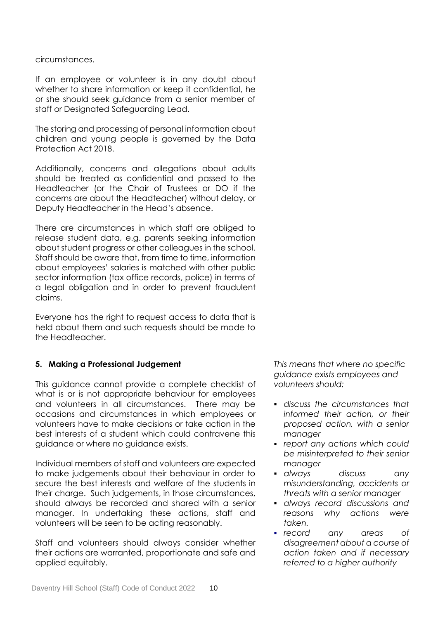circumstances.

If an employee or volunteer is in any doubt about whether to share information or keep it confidential, he or she should seek guidance from a senior member of staff or Designated Safeguarding Lead.

The storing and processing of personal information about children and young people is governed by the Data Protection Act 2018.

Additionally, concerns and allegations about adults should be treated as confidential and passed to the Headteacher (or the Chair of Trustees or DO if the concerns are about the Headteacher) without delay, or Deputy Headteacher in the Head's absence.

There are circumstances in which staff are obliged to release student data, e.g. parents seeking information about student progress or other colleagues in the school. Staff should be aware that, from time to time, information about employees' salaries is matched with other public sector information (tax office records, police) in terms of a legal obligation and in order to prevent fraudulent claims.

Everyone has the right to request access to data that is held about them and such requests should be made to the Headteacher.

## **5. Making a Professional Judgement**

This guidance cannot provide a complete checklist of what is or is not appropriate behaviour for employees and volunteers in all circumstances. There may be occasions and circumstances in which employees or volunteers have to make decisions or take action in the best interests of a student which could contravene this guidance or where no guidance exists.

Individual members of staff and volunteers are expected to make judgements about their behaviour in order to secure the best interests and welfare of the students in their charge. Such judgements, in those circumstances, should always be recorded and shared with a senior manager. In undertaking these actions, staff and volunteers will be seen to be acting reasonably.

Staff and volunteers should always consider whether their actions are warranted, proportionate and safe and applied equitably.

*This means that where no specific guidance exists employees and volunteers should:*

- *discuss the circumstances that informed their action, or their proposed action, with a senior manager*
- *report any actions which could be misinterpreted to their senior manager*
- *always discuss any misunderstanding, accidents or threats with a senior manager*
- *always record discussions and reasons why actions were taken.*
- *record any areas of disagreement about a course of action taken and if necessary referred to a higher authority*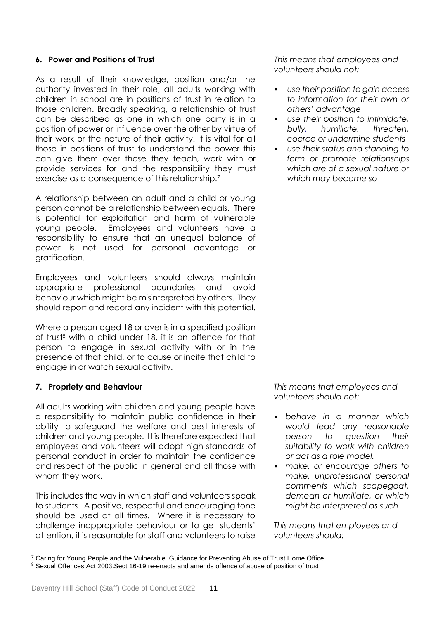## **6. Power and Positions of Trust**

As a result of their knowledge, position and/or the authority invested in their role, all adults working with children in school are in positions of trust in relation to those children. Broadly speaking, a relationship of trust can be described as one in which one party is in a position of power or influence over the other by virtue of their work or the nature of their activity. It is vital for all those in positions of trust to understand the power this can give them over those they teach, work with or provide services for and the responsibility they must exercise as a consequence of this relationship.<sup>7</sup>

A relationship between an adult and a child or young person cannot be a relationship between equals. There is potential for exploitation and harm of vulnerable young people. Employees and volunteers have a responsibility to ensure that an unequal balance of power is not used for personal advantage or gratification.

Employees and volunteers should always maintain appropriate professional boundaries and avoid behaviour which might be misinterpreted by others. They should report and record any incident with this potential.

Where a person aged 18 or over is in a specified position of trust<sup>8</sup> with a child under 18, it is an offence for that person to engage in sexual activity with or in the presence of that child, or to cause or incite that child to engage in or watch sexual activity.

## **7. Propriety and Behaviour**

All adults working with children and young people have a responsibility to maintain public confidence in their ability to safeguard the welfare and best interests of children and young people. It is therefore expected that employees and volunteers will adopt high standards of personal conduct in order to maintain the confidence and respect of the public in general and all those with whom they work.

This includes the way in which staff and volunteers speak to students. A positive, respectful and encouraging tone should be used at all times. Where it is necessary to challenge inappropriate behaviour or to get students' attention, it is reasonable for staff and volunteers to raise

*This means that employees and volunteers should not:*

- *use their position to gain access to information for their own or others' advantage*
- *use their position to intimidate, bully, humiliate, threaten, coerce or undermine students*
- *use their status and standing to form or promote relationships which are of a sexual nature or which may become so*

*This means that employees and volunteers should not:*

- *behave in a manner which would lead any reasonable person to question their suitability to work with children or act as a role model.*
- *make, or encourage others to make, unprofessional personal comments which scapegoat, demean or humiliate, or which might be interpreted as such*

*This means that employees and volunteers should:*

l <sup>7</sup> Caring for Young People and the Vulnerable. Guidance for Preventing Abuse of Trust Home Office <sup>8</sup> Sexual Offences Act 2003.Sect 16-19 re-enacts and amends offence of abuse of position of trust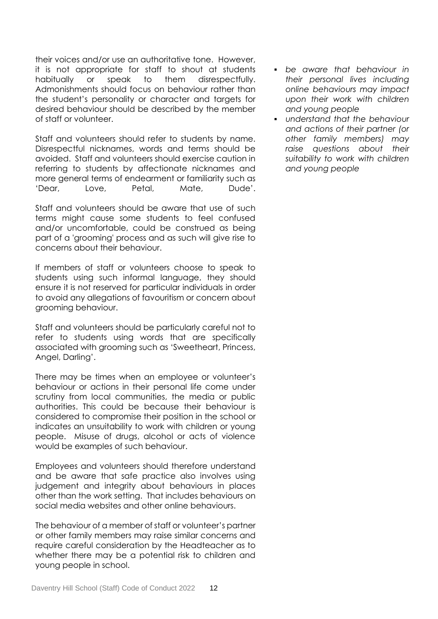their voices and/or use an authoritative tone. However, it is not appropriate for staff to shout at students habitually or speak to them disrespectfully. Admonishments should focus on behaviour rather than the student's personality or character and targets for desired behaviour should be described by the member of staff or volunteer.

Staff and volunteers should refer to students by name. Disrespectful nicknames, words and terms should be avoided. Staff and volunteers should exercise caution in referring to students by affectionate nicknames and more general terms of endearment or familiarity such as 'Dear, Love, Petal, Mate, Dude'.

Staff and volunteers should be aware that use of such terms might cause some students to feel confused and/or uncomfortable, could be construed as being part of a 'grooming' process and as such will give rise to concerns about their behaviour.

If members of staff or volunteers choose to speak to students using such informal language, they should ensure it is not reserved for particular individuals in order to avoid any allegations of favouritism or concern about grooming behaviour.

Staff and volunteers should be particularly careful not to refer to students using words that are specifically associated with grooming such as 'Sweetheart, Princess, Angel, Darling'.

There may be times when an employee or volunteer's behaviour or actions in their personal life come under scrutiny from local communities, the media or public authorities. This could be because their behaviour is considered to compromise their position in the school or indicates an unsuitability to work with children or young people. Misuse of drugs, alcohol or acts of violence would be examples of such behaviour.

Employees and volunteers should therefore understand and be aware that safe practice also involves using judgement and integrity about behaviours in places other than the work setting. That includes behaviours on social media websites and other online behaviours.

The behaviour of a member of staff or volunteer's partner or other family members may raise similar concerns and require careful consideration by the Headteacher as to whether there may be a potential risk to children and young people in school.

- *be aware that behaviour in their personal lives including online behaviours may impact upon their work with children and young people*
- *understand that the behaviour and actions of their partner (or other family members) may raise questions about their suitability to work with children and young people*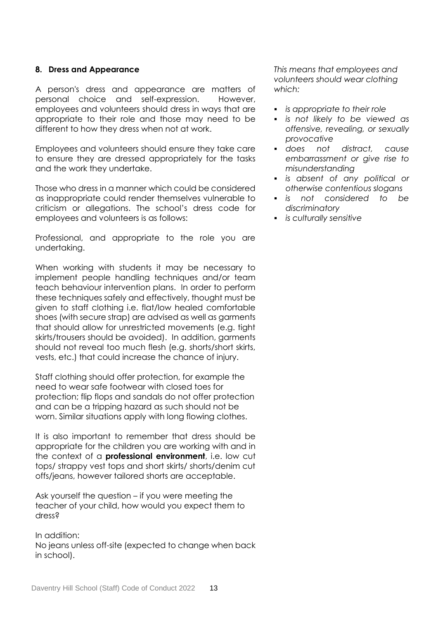#### **8. Dress and Appearance**

A person's dress and appearance are matters of personal choice and self-expression. However, employees and volunteers should dress in ways that are appropriate to their role and those may need to be different to how they dress when not at work.

Employees and volunteers should ensure they take care to ensure they are dressed appropriately for the tasks and the work they undertake.

Those who dress in a manner which could be considered as inappropriate could render themselves vulnerable to criticism or allegations. The school's dress code for employees and volunteers is as follows:

Professional, and appropriate to the role you are undertaking.

When working with students it may be necessary to implement people handling techniques and/or team teach behaviour intervention plans. In order to perform these techniques safely and effectively, thought must be given to staff clothing i.e. flat/low healed comfortable shoes (with secure strap) are advised as well as garments that should allow for unrestricted movements (e.g. tight skirts/trousers should be avoided). In addition, garments should not reveal too much flesh (e.g. shorts/short skirts, vests, etc.) that could increase the chance of injury.

Staff clothing should offer protection, for example the need to wear safe footwear with closed toes for protection; flip flops and sandals do not offer protection and can be a tripping hazard as such should not be worn. Similar situations apply with long flowing clothes.

It is also important to remember that dress should be appropriate for the children you are working with and in the context of a **professional environment**, i.e. low cut tops/ strappy vest tops and short skirts/ shorts/denim cut offs/jeans, however tailored shorts are acceptable.

Ask yourself the question – if you were meeting the teacher of your child, how would you expect them to dress?

In addition: No jeans unless off-site (expected to change when back in school).

*This means that employees and volunteers should wear clothing which:*

- *is appropriate to their role*
- *is not likely to be viewed as offensive, revealing, or sexually provocative*
- *does not distract, cause embarrassment or give rise to misunderstanding*
- *is absent of any political or otherwise contentious slogans*
- *is not considered to be discriminatory*
- *is culturally sensitive*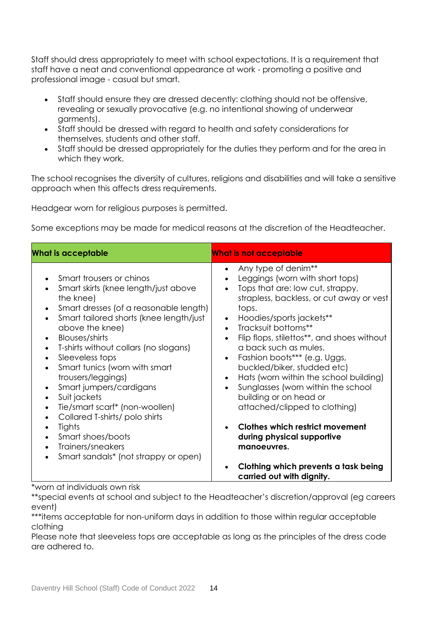Staff should dress appropriately to meet with school expectations. It is a requirement that staff have a neat and conventional appearance at work - promoting a positive and professional image - casual but smart.

- Staff should ensure they are dressed decently: clothing should not be offensive, revealing or sexually provocative (e.g. no intentional showing of underwear garments).
- Staff should be dressed with regard to health and safety considerations for themselves, students and other staff.
- Staff should be dressed appropriately for the duties they perform and for the area in which they work.

The school recognises the diversity of cultures, religions and disabilities and will take a sensitive approach when this affects dress requirements.

Headgear worn for religious purposes is permitted.

Some exceptions may be made for medical reasons at the discretion of the Headteacher.

| <b>What is acceptable</b>                                                                                                                                                                                                                                                                                                                                                                                                                                                                                                                                                                                                                                              | <b>What is not acceptable</b>                                                                                                                                                                                                                                                                                                                                                                                                                                                                                                                                                                                                                                                                                    |  |
|------------------------------------------------------------------------------------------------------------------------------------------------------------------------------------------------------------------------------------------------------------------------------------------------------------------------------------------------------------------------------------------------------------------------------------------------------------------------------------------------------------------------------------------------------------------------------------------------------------------------------------------------------------------------|------------------------------------------------------------------------------------------------------------------------------------------------------------------------------------------------------------------------------------------------------------------------------------------------------------------------------------------------------------------------------------------------------------------------------------------------------------------------------------------------------------------------------------------------------------------------------------------------------------------------------------------------------------------------------------------------------------------|--|
| Smart trousers or chinos<br>Smart skirts (knee length/just above<br>the knee)<br>Smart dresses (of a reasonable length)<br>Smart tailored shorts (knee length/just<br>above the knee)<br>Blouses/shirts<br>T-shirts without collars (no slogans)<br>$\bullet$<br>Sleeveless tops<br>$\bullet$<br>Smart tunics (worn with smart<br>$\bullet$<br>trousers/leggings)<br>Smart jumpers/cardigans<br>Suit jackets<br>$\bullet$<br>Tie/smart scarf* (non-woollen)<br>$\bullet$<br>Collared T-shirts/polo shirts<br>$\bullet$<br>Tights<br>$\bullet$<br>Smart shoes/boots<br>$\bullet$<br>Trainers/sneakers<br>$\bullet$<br>Smart sandals* (not strappy or open)<br>$\bullet$ | Any type of denim**<br>Leggings (worn with short tops)<br>Tops that are: low cut, strappy,<br>strapless, backless, or cut away or vest<br>tops.<br>Hoodies/sports jackets**<br>$\bullet$<br>Tracksuit bottoms**<br>$\bullet$<br>Flip flops, stilettos**, and shoes without<br>$\bullet$<br>a back such as mules.<br>Fashion boots*** (e.g. Uggs,<br>$\bullet$<br>buckled/biker, studded etc)<br>Hats (worn within the school building)<br>$\bullet$<br>Sunglasses (worn within the school<br>building or on head or<br>attached/clipped to clothing)<br><b>Clothes which restrict movement</b><br>during physical supportive<br>manoeuvres.<br>Clothing which prevents a task being<br>carried out with dignity. |  |

\*worn at individuals own risk

\*\*special events at school and subject to the Headteacher's discretion/approval (eg careers event)

\*\*\*items acceptable for non-uniform days in addition to those within regular acceptable clothing

Please note that sleeveless tops are acceptable as long as the principles of the dress code are adhered to.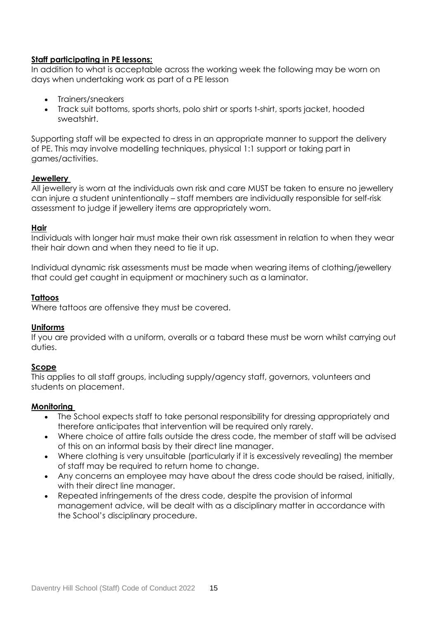## **Staff participating in PE lessons:**

In addition to what is acceptable across the working week the following may be worn on days when undertaking work as part of a PE lesson

- Trainers/sneakers
- Track suit bottoms, sports shorts, polo shirt or sports t-shirt, sports jacket, hooded sweatshirt.

Supporting staff will be expected to dress in an appropriate manner to support the delivery of PE. This may involve modelling techniques, physical 1:1 support or taking part in games/activities.

## **Jewellery**

All jewellery is worn at the individuals own risk and care MUST be taken to ensure no jewellery can injure a student unintentionally – staff members are individually responsible for self-risk assessment to judge if jewellery items are appropriately worn.

## **Hair**

Individuals with longer hair must make their own risk assessment in relation to when they wear their hair down and when they need to tie it up.

Individual dynamic risk assessments must be made when wearing items of clothing/jewellery that could get caught in equipment or machinery such as a laminator.

## **Tattoos**

Where tattoos are offensive they must be covered.

#### **Uniforms**

If you are provided with a uniform, overalls or a tabard these must be worn whilst carrying out duties.

## **Scope**

This applies to all staff groups, including supply/agency staff, governors, volunteers and students on placement.

#### **Monitoring**

- The School expects staff to take personal responsibility for dressing appropriately and therefore anticipates that intervention will be required only rarely.
- Where choice of attire falls outside the dress code, the member of staff will be advised of this on an informal basis by their direct line manager.
- Where clothing is very unsuitable (particularly if it is excessively revealing) the member of staff may be required to return home to change.
- Any concerns an employee may have about the dress code should be raised, initially, with their direct line manager.
- Repeated infringements of the dress code, despite the provision of informal management advice, will be dealt with as a disciplinary matter in accordance with the School's disciplinary procedure.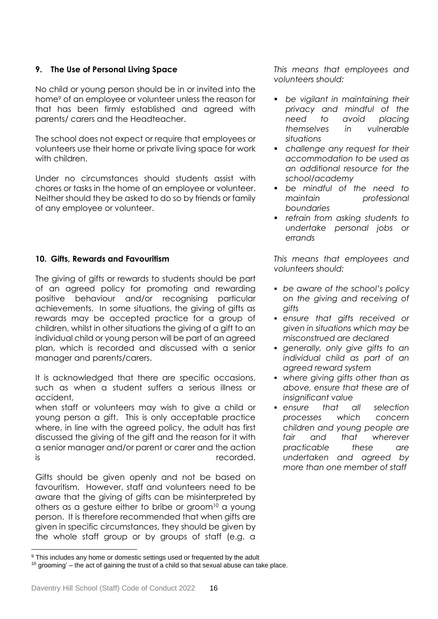## **9. The Use of Personal Living Space**

No child or young person should be in or invited into the home<sup>9</sup> of an employee or volunteer unless the reason for that has been firmly established and agreed with parents/ carers and the Headteacher.

The school does not expect or require that employees or volunteers use their home or private living space for work with children.

Under no circumstances should students assist with chores or tasks in the home of an employee or volunteer. Neither should they be asked to do so by friends or family of any employee or volunteer.

## **10. Gifts, Rewards and Favouritism**

The giving of gifts or rewards to students should be part of an agreed policy for promoting and rewarding positive behaviour and/or recognising particular achievements. In some situations, the giving of gifts as rewards may be accepted practice for a group of children, whilst in other situations the giving of a gift to an individual child or young person will be part of an agreed plan, which is recorded and discussed with a senior manager and parents/carers.

It is acknowledged that there are specific occasions, such as when a student suffers a serious illness or accident,

when staff or volunteers may wish to give a child or young person a gift. This is only acceptable practice where, in line with the agreed policy, the adult has first discussed the giving of the gift and the reason for it with a senior manager and/or parent or carer and the action is recorded.

Gifts should be given openly and not be based on favouritism. However, staff and volunteers need to be aware that the giving of gifts can be misinterpreted by others as a gesture either to bribe or groom $10$  a young person. It is therefore recommended that when gifts are given in specific circumstances, they should be given by the whole staff group or by groups of staff (e.g. a

*This means that employees and volunteers should:*

- *be vigilant in maintaining their privacy and mindful of the need to avoid placing themselves in vulnerable situations*
- *challenge any request for their accommodation to be used as an additional resource for the school/academy*
- *be mindful of the need to maintain professional boundaries*
- *refrain from asking students to undertake personal jobs or errands*

*This means that employees and volunteers should:* 

- *be aware of the school's policy on the giving and receiving of gifts*
- *ensure that gifts received or given in situations which may be misconstrued are declared*
- *generally, only give gifts to an individual child as part of an agreed reward system*
- *where giving gifts other than as above, ensure that these are of insignificant value*
- *ensure that all selection processes which concern children and young people are fair and that wherever practicable these are undertaken and agreed by more than one member of staff*

l

<sup>&</sup>lt;sup>9</sup> This includes any home or domestic settings used or frequented by the adult  $10$  grooming' – the act of gaining the trust of a child so that sexual abuse can take place.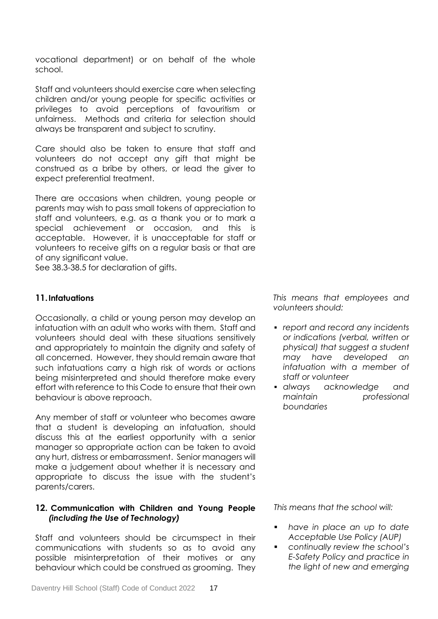vocational department) or on behalf of the whole school.

Staff and volunteers should exercise care when selecting children and/or young people for specific activities or privileges to avoid perceptions of favouritism or unfairness. Methods and criteria for selection should always be transparent and subject to scrutiny.

Care should also be taken to ensure that staff and volunteers do not accept any gift that might be construed as a bribe by others, or lead the giver to expect preferential treatment.

There are occasions when children, young people or parents may wish to pass small tokens of appreciation to staff and volunteers, e.g. as a thank you or to mark a special achievement or occasion, and this is acceptable. However, it is unacceptable for staff or volunteers to receive gifts on a regular basis or that are of any significant value.

See 38.3-38.5 for declaration of gifts.

## **11.Infatuations**

Occasionally, a child or young person may develop an infatuation with an adult who works with them. Staff and volunteers should deal with these situations sensitively and appropriately to maintain the dignity and safety of all concerned. However, they should remain aware that such infatuations carry a high risk of words or actions being misinterpreted and should therefore make every effort with reference to this Code to ensure that their own behaviour is above reproach.

Any member of staff or volunteer who becomes aware that a student is developing an infatuation, should discuss this at the earliest opportunity with a senior manager so appropriate action can be taken to avoid any hurt, distress or embarrassment. Senior managers will make a judgement about whether it is necessary and appropriate to discuss the issue with the student's parents/carers.

## **12. Communication with Children and Young People**  *(including the Use of Technology)*

Staff and volunteers should be circumspect in their communications with students so as to avoid any possible misinterpretation of their motives or any behaviour which could be construed as grooming.They *This means that employees and volunteers should:*

 *report and record any incidents or indications (verbal, written or physical) that suggest a student may have developed an infatuation with a member of staff or volunteer*

 *always acknowledge and maintain professional boundaries*

*This means that the school will:*

- *have in place an up to date Acceptable Use Policy (AUP)*
- *continually review the school's E-Safety Policy and practice in the light of new and emerging*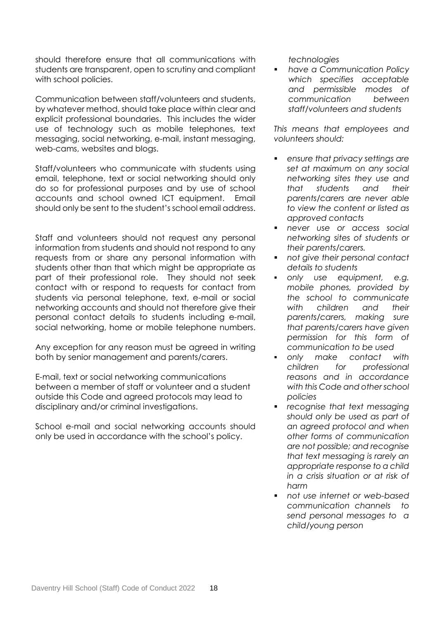should therefore ensure that all communications with students are transparent, open to scrutiny and compliant with school policies.

Communication between staff/volunteers and students, by whatever method, should take place within clear and explicit professional boundaries. This includes the wider use of technology such as mobile telephones, text messaging, social networking, e-mail, instant messaging, web-cams, websites and blogs.

Staff/volunteers who communicate with students using email, telephone, text or social networking should only do so for professional purposes and by use of school accounts and school owned ICT equipment. Email should only be sent to the student's school email address.

Staff and volunteers should not request any personal information from students and should not respond to any requests from or share any personal information with students other than that which might be appropriate as part of their professional role. They should not seek contact with or respond to requests for contact from students via personal telephone, text, e-mail or social networking accounts and should not therefore give their personal contact details to students including e-mail, social networking, home or mobile telephone numbers.

Any exception for any reason must be agreed in writing both by senior management and parents/carers.

E-mail, text or social networking communications between a member of staff or volunteer and a student outside this Code and agreed protocols may lead to disciplinary and/or criminal investigations.

School e-mail and social networking accounts should only be used in accordance with the school's policy.

*technologies*

 *have a Communication Policy which specifies acceptable and permissible modes of communication between staff/volunteers and students*

*This means that employees and volunteers should:*

- *ensure that privacy settings are set at maximum on any social networking sites they use and that students and their parents/carers are never able to view the content or listed as approved contacts*
- *never use or access social networking sites of students or their parents/carers.*
- *not give their personal contact details to students*
- *only use equipment, e.g. mobile phones, provided by the school to communicate with children and their parents/carers, making sure that parents/carers have given permission for this form of communication to be used*
- *only make contact with children for professional reasons and in accordance with this Code and other school policies*
- *recognise that text messaging should only be used as part of an agreed protocol and when other forms of communication are not possible; and recognise that text messaging is rarely an appropriate response to a child in a crisis situation or at risk of harm*
- *not use internet or web-based communication channels to send personal messages to a child/young person*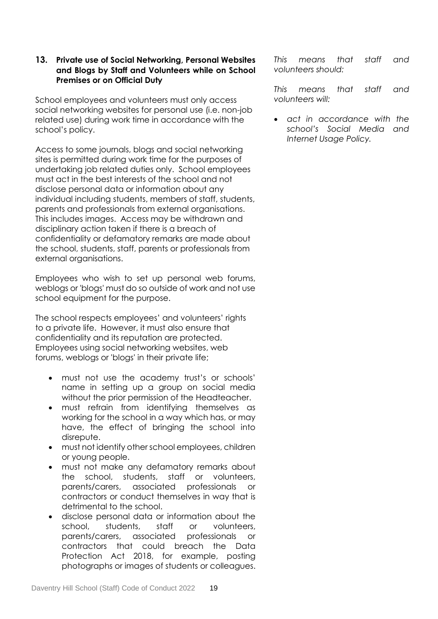## **13. Private use of Social Networking, Personal Websites and Blogs by Staff and Volunteers while on School Premises or on Official Duty**

School employees and volunteers must only access social networking websites for personal use (i.e. non-job related use) during work time in accordance with the school's policy.

Access to some journals, blogs and social networking sites is permitted during work time for the purposes of undertaking job related duties only. School employees must act in the best interests of the school and not disclose personal data or information about any individual including students, members of staff, students, parents and professionals from external organisations. This includes images. Access may be withdrawn and disciplinary action taken if there is a breach of confidentiality or defamatory remarks are made about the school, students, staff, parents or professionals from external organisations.

Employees who wish to set up personal web forums, weblogs or 'blogs' must do so outside of work and not use school equipment for the purpose.

The school respects employees' and volunteers' rights to a private life. However, it must also ensure that confidentiality and its reputation are protected. Employees using social networking websites, web forums, weblogs or 'blogs' in their private life;

- must not use the academy trust's or schools' name in setting up a group on social media without the prior permission of the Headteacher.
- must refrain from identifying themselves as working for the school in a way which has, or may have, the effect of bringing the school into disrepute.
- must not identify other school employees, children or young people.
- must not make any defamatory remarks about the school, students, staff or volunteers, parents/carers, associated professionals or contractors or conduct themselves in way that is detrimental to the school.
- disclose personal data or information about the school, students, staff or volunteers, parents/carers, associated professionals or contractors that could breach the Data Protection Act 2018, for example, posting photographs or images of students or colleagues.

*This means that staff and volunteers should:*

*This means that staff and volunteers will:*

 *act in accordance with the school's Social Media and Internet Usage Policy.*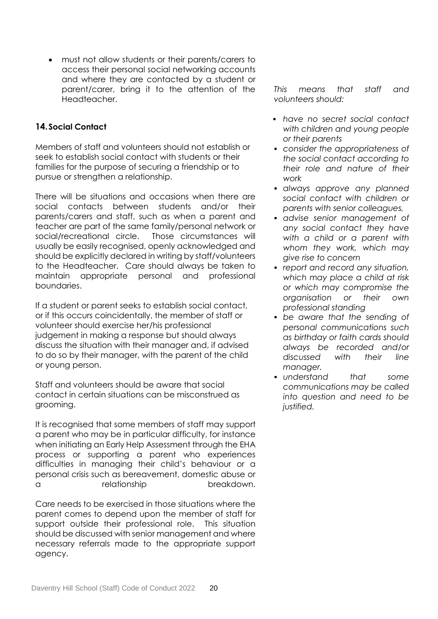must not allow students or their parents/carers to access their personal social networking accounts and where they are contacted by a student or parent/carer, bring it to the attention of the Headteacher.

## **14.Social Contact**

Members of staff and volunteers should not establish or seek to establish social contact with students or their families for the purpose of securing a friendship or to pursue or strengthen a relationship.

There will be situations and occasions when there are social contacts between students and/or their parents/carers and staff, such as when a parent and teacher are part of the same family/personal network or social/recreational circle. Those circumstances will usually be easily recognised, openly acknowledged and should be explicitly declared in writing by staff/volunteers to the Headteacher. Care should always be taken to maintain appropriate personal and professional boundaries.

If a student or parent seeks to establish social contact, or if this occurs coincidentally, the member of staff or volunteer should exercise her/his professional judgement in making a response but should always discuss the situation with their manager and, if advised to do so by their manager, with the parent of the child or young person.

Staff and volunteers should be aware that social contact in certain situations can be misconstrued as grooming.

It is recognised that some members of staff may support a parent who may be in particular difficulty, for instance when initiating an Early Help Assessment through the EHA process or supporting a parent who experiences difficulties in managing their child's behaviour or a personal crisis such as bereavement, domestic abuse or a relationship breakdown.

Care needs to be exercised in those situations where the parent comes to depend upon the member of staff for support outside their professional role. This situation should be discussed with senior management and where necessary referrals made to the appropriate support agency.

*This means that staff and volunteers should:*

- *have no secret social contact with children and young people or their parents*
- *consider the appropriateness of the social contact according to their role and nature of their work*
- *always approve any planned social contact with children or parents with senior colleagues,*
- *advise senior management of any social contact they have with a child or a parent with whom they work, which may give rise to concern*
- *report and record any situation, which may place a child at risk or which may compromise the organisation or their own professional standing*
- *be aware that the sending of personal communications such as birthday or faith cards should always be recorded and/or discussed with their line manager.*
- *understand that some communications may be called into question and need to be justified.*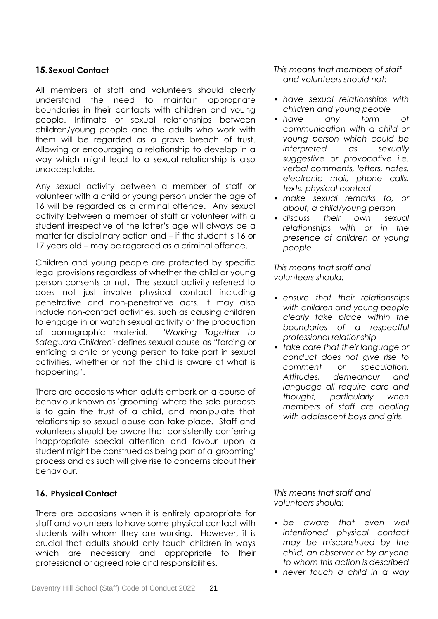## **15.Sexual Contact**

All members of staff and volunteers should clearly understand the need to maintain appropriate boundaries in their contacts with children and young people. Intimate or sexual relationships between children/young people and the adults who work with them will be regarded as a grave breach of trust. Allowing or encouraging a relationship to develop in a way which might lead to a sexual relationship is also unacceptable.

Any sexual activity between a member of staff or volunteer with a child or young person under the age of 16 will be regarded as a criminal offence. Any sexual activity between a member of staff or volunteer with a student irrespective of the latter's age will always be a matter for disciplinary action and – if the student is 16 or 17 years old – may be regarded as a criminal offence.

Children and young people are protected by specific legal provisions regardless of whether the child or young person consents or not. The sexual activity referred to does not just involve physical contact including penetrative and non-penetrative acts. It may also include non-contact activities, such as causing children to engage in or watch sexual activity or the production of pornographic material. '*Working Together to Safeguard Children*' , defines *s*exual abuse as "forcing or enticing a child or young person to take part in sexual activities, whether or not the child is aware of what is happening".

There are occasions when adults embark on a course of behaviour known as 'grooming' where the sole purpose is to gain the trust of a child, and manipulate that relationship so sexual abuse can take place. Staff and volunteers should be aware that consistently conferring inappropriate special attention and favour upon a student might be construed as being part of a 'grooming' process and as such will give rise to concerns about their behaviour.

## **16. Physical Contact**

There are occasions when it is entirely appropriate for staff and volunteers to have some physical contact with students with whom they are working. However, it is crucial that adults should only touch children in ways which are necessary and appropriate to their professional or agreed role and responsibilities.

*This means that members of staff and volunteers should not:*

- *have sexual relationships with children and young people*
- *have any form of communication with a child or young person which could be interpreted as sexually suggestive or provocative i.e. verbal comments, letters, notes, electronic mail, phone calls, texts, physical contact*
- *make sexual remarks to, or about, a child/young person*
- *discuss their own sexual relationships with or in the presence of children or young people*

*This means that staff and volunteers should:*

- *ensure that their relationships with children and young people clearly take place within the boundaries of a respectful professional relationship*
- *take care that their language or conduct does not give rise to comment or speculation. Attitudes, demeanour and language all require care and thought, particularly when members of staff are dealing with adolescent boys and girls.*

*This means that staff and volunteers should:*

- *be aware that even well intentioned physical contact may be misconstrued by the child, an observer or by anyone to whom this action is described*
- *never touch a child in a way*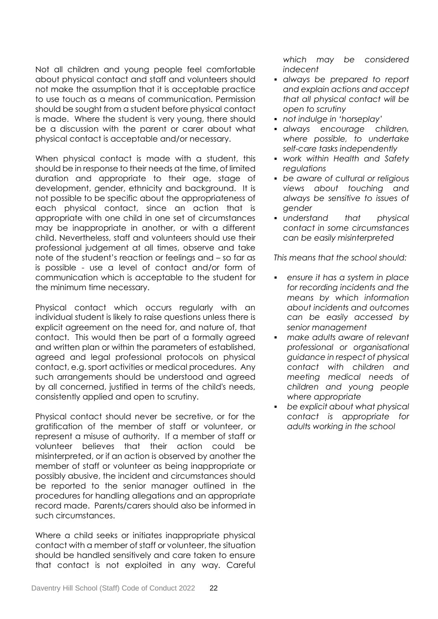Not all children and young people feel comfortable about physical contact and staff and volunteers should not make the assumption that it is acceptable practice to use touch as a means of communication. Permission should be sought from a student before physical contact is made. Where the student is very young, there should be a discussion with the parent or carer about what physical contact is acceptable and/or necessary.

When physical contact is made with a student, this should be in response to their needs at the time, of limited duration and appropriate to their age, stage of development, gender, ethnicity and background. It is not possible to be specific about the appropriateness of each physical contact, since an action that is appropriate with one child in one set of circumstances may be inappropriate in another, or with a different child. Nevertheless, staff and volunteers should use their professional judgement at all times, observe and take note of the student's reaction or feelings and – so far as is possible - use a level of contact and/or form of communication which is acceptable to the student for the minimum time necessary.

Physical contact which occurs regularly with an individual student is likely to raise questions unless there is explicit agreement on the need for, and nature of, that contact. This would then be part of a formally agreed and written plan or within the parameters of established, agreed and legal professional protocols on physical contact, e.g. sport activities or medical procedures. Any such arrangements should be understood and agreed by all concerned, justified in terms of the child's needs, consistently applied and open to scrutiny.

Physical contact should never be secretive, or for the gratification of the member of staff or volunteer, or represent a misuse of authority. If a member of staff or volunteer believes that their action could be misinterpreted, or if an action is observed by another the member of staff or volunteer as being inappropriate or possibly abusive, the incident and circumstances should be reported to the senior manager outlined in the procedures for handling allegations and an appropriate record made. Parents/carers should also be informed in such circumstances.

Where a child seeks or initiates inappropriate physical contact with a member of staff or volunteer, the situation should be handled sensitively and care taken to ensure that contact is not exploited in any way. Careful

*which may be considered indecent*

- *always be prepared to report and explain actions and accept that all physical contact will be open to scrutiny*
- *not indulge in 'horseplay'*
- *always encourage children, where possible, to undertake self-care tasks independently*
- *work within Health and Safety regulations*
- *be aware of cultural or religious views about touching and always be sensitive to issues of gender*
- *understand that physical contact in some circumstances can be easily misinterpreted*

*This means that the school should:*

- *ensure it has a system in place for recording incidents and the means by which information about incidents and outcomes can be easily accessed by senior management*
- *make adults aware of relevant professional or organisational guidance in respect of physical contact with children and meeting medical needs of children and young people where appropriate*
- *be explicit about what physical contact is appropriate for adults working in the school*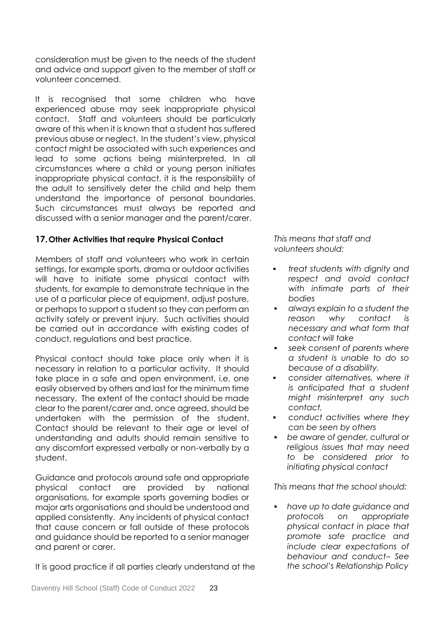consideration must be given to the needs of the student and advice and support given to the member of staff or volunteer concerned.

It is recognised that some children who have experienced abuse may seek inappropriate physical contact. Staff and volunteers should be particularly aware of this when it is known that a student has suffered previous abuse or neglect. In the student's view, physical contact might be associated with such experiences and lead to some actions being misinterpreted. In all circumstances where a child or young person initiates inappropriate physical contact, it is the responsibility of the adult to sensitively deter the child and help them understand the importance of personal boundaries. Such circumstances must always be reported and discussed with a senior manager and the parent/carer.

## **17.Other Activities that require Physical Contact**

Members of staff and volunteers who work in certain settings, for example sports, drama or outdoor activities will have to initiate some physical contact with students, for example to demonstrate technique in the use of a particular piece of equipment, adjust posture, or perhaps to support a student so they can perform an activity safely or prevent injury. Such activities should be carried out in accordance with existing codes of conduct, regulations and best practice.

Physical contact should take place only when it is necessary in relation to a particular activity. It should take place in a safe and open environment, i.e. one easily observed by others and last for the minimum time necessary. The extent of the contact should be made clear to the parent/carer and, once agreed, should be undertaken with the permission of the student. Contact should be relevant to their age or level of understanding and adults should remain sensitive to any discomfort expressed verbally or non-verbally by a student.

Guidance and protocols around safe and appropriate physical contact are provided by national organisations, for example sports governing bodies or major arts organisations and should be understood and applied consistently. Any incidents of physical contact that cause concern or fall outside of these protocols and guidance should be reported to a senior manager and parent or carer.

It is good practice if all parties clearly understand at the

*This means that staff and volunteers should:*

- *treat students with dignity and respect and avoid contact with intimate parts of their bodies*
- *always explain to a student the reason why contact is necessary and what form that contact will take*
- *seek consent of parents where a student is unable to do so because of a disability.*
- *consider alternatives, where it is anticipated that a student might misinterpret any such contact,*
- *conduct activities where they can be seen by others*
- *be aware of gender, cultural or religious issues that may need to be considered prior to initiating physical contact*

*This means that the school should:*

 *have up to date guidance and protocols on appropriate physical contact in place that promote safe practice and include clear expectations of behaviour and conduct– See the school's Relationship Policy*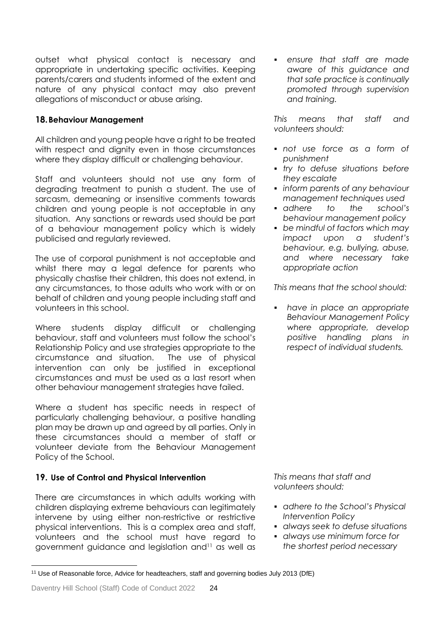outset what physical contact is necessary and appropriate in undertaking specific activities. Keeping parents/carers and students informed of the extent and nature of any physical contact may also prevent allegations of misconduct or abuse arising.

## **18.Behaviour Management**

All children and young people have a right to be treated with respect and dianity even in those circumstances where they display difficult or challenging behaviour.

Staff and volunteers should not use any form of degrading treatment to punish a student. The use of sarcasm, demeaning or insensitive comments towards children and young people is not acceptable in any situation. Any sanctions or rewards used should be part of a behaviour management policy which is widely publicised and regularly reviewed.

The use of corporal punishment is not acceptable and whilst there may a legal defence for parents who physically chastise their children, this does not extend, in any circumstances, to those adults who work with or on behalf of children and young people including staff and volunteers in this school.

Where students display difficult or challenging behaviour, staff and volunteers must follow the school's Relationship Policy and use strategies appropriate to the circumstance and situation. The use of physical intervention can only be justified in exceptional circumstances and must be used as a last resort when other behaviour management strategies have failed.

Where a student has specific needs in respect of particularly challenging behaviour, a positive handling plan may be drawn up and agreed by all parties. Only in these circumstances should a member of staff or volunteer deviate from the Behaviour Management Policy of the School.

## **19. Use of Control and Physical Intervention**

There are circumstances in which adults working with children displaying extreme behaviours can legitimately intervene by using either non-restrictive or restrictive physical interventions. This is a complex area and staff, volunteers and the school must have regard to government guidance and legislation and<sup>11</sup> as well as

 *ensure that staff are made aware of this guidance and that safe practice is continually promoted through supervision and training.*

*This means that staff and volunteers should:*

- *not use force as a form of punishment*
- *try to defuse situations before they escalate*
- *inform parents of any behaviour management techniques used*
- *adhere to the school's behaviour management policy*
- *be mindful of factors which may impact upon a student's behaviour, e.g. bullying, abuse, and where necessary take appropriate action*

*This means that the school should:*

 *have in place an appropriate Behaviour Management Policy where appropriate, develop positive handling plans in respect of individual students.*

*This means that staff and volunteers should:*

- *adhere to the School's Physical Intervention Policy*
- *always seek to defuse situations*
- *always use minimum force for the shortest period necessary*

l

<sup>11</sup> Use of Reasonable force, Advice for headteachers, staff and governing bodies July 2013 (DfE)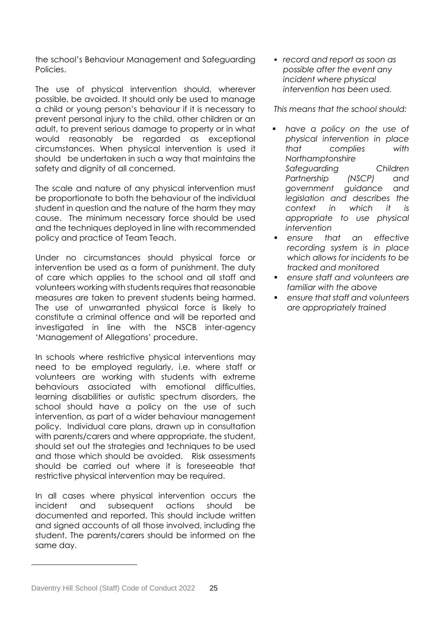the school's Behaviour Management and Safeguarding Policies.

The use of physical intervention should, wherever possible, be avoided. It should only be used to manage a child or young person's behaviour if it is necessary to prevent personal injury to the child, other children or an adult, to prevent serious damage to property or in what would reasonably be regarded as exceptional circumstances. When physical intervention is used it should be undertaken in such a way that maintains the safety and dignity of all concerned.

The scale and nature of any physical intervention must be proportionate to both the behaviour of the individual student in question and the nature of the harm they may cause. The minimum necessary force should be used and the techniques deployed in line with recommended policy and practice of Team Teach.

Under no circumstances should physical force or intervention be used as a form of punishment. The duty of care which applies to the school and all staff and volunteers working with students requires that reasonable measures are taken to prevent students being harmed. The use of unwarranted physical force is likely to constitute a criminal offence and will be reported and investigated in line with the NSCB inter-agency 'Management of Allegations' procedure.

In schools where restrictive physical interventions may need to be employed regularly, i.e. where staff or volunteers are working with students with extreme behaviours associated with emotional difficulties, learning disabilities or autistic spectrum disorders, the school should have a policy on the use of such intervention, as part of a wider behaviour management policy. Individual care plans, drawn up in consultation with parents/carers and where appropriate, the student, should set out the strategies and techniques to be used and those which should be avoided. Risk assessments should be carried out where it is foreseeable that restrictive physical intervention may be required.

In all cases where physical intervention occurs the incident and subsequent actions should be documented and reported. This should include written and signed accounts of all those involved, including the student. The parents/carers should be informed on the same day.

 *record and report as soon as possible after the event any incident where physical intervention has been used.*

*This means that the school should:*

- *have a policy on the use of physical intervention in place that complies with Northamptonshire Safeguarding Children Partnership (NSCP) and government guidance and legislation and describes the context in which it is appropriate to use physical intervention*
- *ensure that an effective recording system is in place which allows for incidents to be tracked and monitored*
- *ensure staff and volunteers are familiar with the above*
- *ensure that staff and volunteers are appropriately trained*

l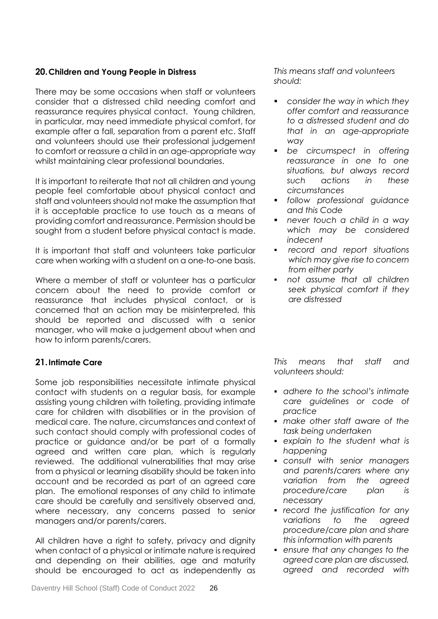## **20.Children and Young People in Distress**

There may be some occasions when staff or volunteers consider that a distressed child needing comfort and reassurance requires physical contact. Young children, in particular, may need immediate physical comfort, for example after a fall, separation from a parent etc. Staff and volunteers should use their professional judgement to comfort or reassure a child in an age-appropriate way whilst maintaining clear professional boundaries.

It is important to reiterate that not all children and young people feel comfortable about physical contact and staff and volunteers should not make the assumption that it is acceptable practice to use touch as a means of providing comfort and reassurance. Permission should be sought from a student before physical contact is made.

It is important that staff and volunteers take particular care when working with a student on a one-to-one basis.

Where a member of staff or volunteer has a particular concern about the need to provide comfort or reassurance that includes physical contact, or is concerned that an action may be misinterpreted, this should be reported and discussed with a senior manager, who will make a judgement about when and how to inform parents/carers.

## **21.Intimate Care**

Some job responsibilities necessitate intimate physical contact with students on a regular basis, for example assisting young children with toileting, providing intimate care for children with disabilities or in the provision of medical care. The nature, circumstances and context of such contact should comply with professional codes of practice or guidance and/or be part of a formally agreed and written care plan, which is regularly reviewed. The additional vulnerabilities that may arise from a physical or learning disability should be taken into account and be recorded as part of an agreed care plan. The emotional responses of any child to intimate care should be carefully and sensitively observed and, where necessary, any concerns passed to senior managers and/or parents/carers.

All children have a right to safety, privacy and dignity when contact of a physical or intimate nature is required and depending on their abilities, age and maturity should be encouraged to act as independently as

*This means staff and volunteers should:*

- *consider the way in which they offer comfort and reassurance to a distressed student and do that in an age-appropriate way*
- *be circumspect in offering reassurance in one to one situations, but always record such actions in these circumstances*
- *follow professional guidance and this Code*
- *never touch a child in a way which may be considered indecent*
- *record and report situations which may give rise to concern from either party*
- *not assume that all children seek physical comfort if they are distressed*

*This means that staff and volunteers should:*

- *adhere to the school's intimate care guidelines or code of practice*
- *make other staff aware of the task being undertaken*
- *explain to the student what is happening*
- *consult with senior managers and parents/carers where any variation from the agreed procedure/care plan is necessary*
- *record the justification for any variations to the agreed procedure/care plan and share this information with parents*
- *ensure that any changes to the agreed care plan are discussed, agreed and recorded with*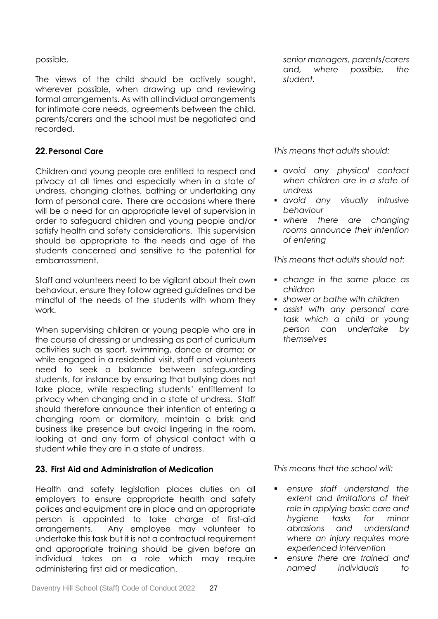## possible.

The views of the child should be actively sought, wherever possible, when drawing up and reviewing formal arrangements. As with all individual arrangements for intimate care needs, agreements between the child, parents/carers and the school must be negotiated and recorded.

## **22.Personal Care**

Children and young people are entitled to respect and privacy at all times and especially when in a state of undress, changing clothes, bathing or undertaking any form of personal care. There are occasions where there will be a need for an appropriate level of supervision in order to safeguard children and young people and/or satisfy health and safety considerations. This supervision should be appropriate to the needs and age of the students concerned and sensitive to the potential for embarrassment.

Staff and volunteers need to be vigilant about their own behaviour, ensure they follow agreed guidelines and be mindful of the needs of the students with whom they work.

When supervising children or young people who are in the course of dressing or undressing as part of curriculum activities such as sport, swimming, dance or drama; or while engaged in a residential visit, staff and volunteers need to seek a balance between safeguarding students, for instance by ensuring that bullying does not take place, while respecting students' entitlement to privacy when changing and in a state of undress. Staff should therefore announce their intention of entering a changing room or dormitory, maintain a brisk and business like presence but avoid lingering in the room, looking at and any form of physical contact with a student while they are in a state of undress.

## **23. First Aid and Administration of Medication**

Health and safety legislation places duties on all employers to ensure appropriate health and safety polices and equipment are in place and an appropriate person is appointed to take charge of first-aid arrangements. Any employee may volunteer to undertake this task but it is not a contractual requirement and appropriate training should be given before an individual takes on a role which may require administering first aid or medication.

*This means that adults should:*

- *avoid any physical contact when children are in a state of undress*
- *avoid any visually intrusive behaviour*
- *where there are changing rooms announce their intention of entering*

*This means that adults should not:*

- *change in the same place as children*
- *shower or bathe with children*
- *assist with any personal care task which a child or young person can undertake by themselves*

*This means that the school will:*

- *ensure staff understand the extent and limitations of their role in applying basic care and hygiene tasks for minor abrasions and understand where an injury requires more experienced intervention*
- *ensure there are trained and named individuals to*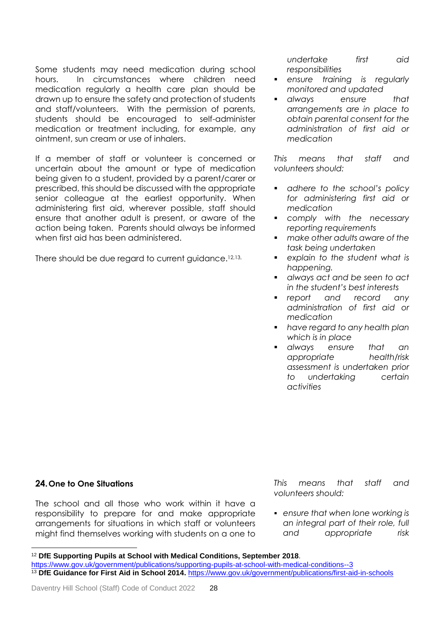Some students may need medication during school hours. In circumstances where children need medication regularly a health care plan should be drawn up to ensure the safety and protection of students and staff/volunteers. With the permission of parents, students should be encouraged to self-administer medication or treatment including, for example, any ointment, sun cream or use of inhalers.

If a member of staff or volunteer is concerned or uncertain about the amount or type of medication being given to a student, provided by a parent/carer or prescribed, this should be discussed with the appropriate senior colleague at the earliest opportunity. When administering first aid, wherever possible, staff should ensure that another adult is present, or aware of the action being taken. Parents should always be informed when first aid has been administered.

There should be due regard to current guidance.<sup>12,13,</sup>

*undertake first aid responsibilities*

- *ensure training is regularly monitored and updated*
- *always ensure that arrangements are in place to obtain parental consent for the administration of first aid or medication*

*This means that staff and volunteers should:*

- *adhere to the school's policy for administering first aid or medication*
- *comply with the necessary reporting requirements*
- *make other adults aware of the task being undertaken*
- *explain to the student what is happening.*
- *always act and be seen to act in the student's best interests*
- *report and record any administration of first aid or medication*
- *have regard to any health plan which is in place*
- *always ensure that an appropriate health/risk assessment is undertaken prior to undertaking certain activities*

## **24.One to One Situations**

l

The school and all those who work within it have a responsibility to prepare for and make appropriate arrangements for situations in which staff or volunteers might find themselves working with students on a one to *This means that staff and volunteers should:*

 *ensure that when lone working is an integral part of their role, full and appropriate risk* 

<sup>12</sup> **DfE Supporting Pupils at School with Medical Conditions, September 2018**.

<https://www.gov.uk/government/publications/supporting-pupils-at-school-with-medical-conditions--3> <sup>13</sup> DfE Guidance for First Aid in School 2014. <https://www.gov.uk/government/publications/first-aid-in-schools>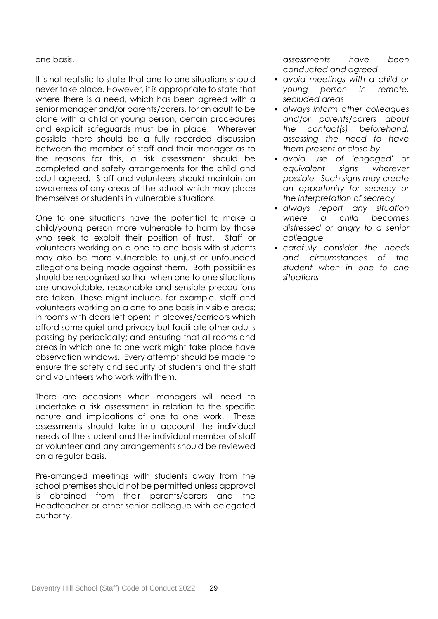#### one basis.

It is not realistic to state that one to one situations should never take place. However, it is appropriate to state that where there is a need, which has been agreed with a senior manager and/or parents/carers, for an adult to be alone with a child or young person, certain procedures and explicit safeguards must be in place. Wherever possible there should be a fully recorded discussion between the member of staff and their manager as to the reasons for this, a risk assessment should be completed and safety arrangements for the child and adult agreed. Staff and volunteers should maintain an awareness of any areas of the school which may place themselves or students in vulnerable situations.

One to one situations have the potential to make a child/young person more vulnerable to harm by those who seek to exploit their position of trust. Staff or volunteers working on a one to one basis with students may also be more vulnerable to unjust or unfounded allegations being made against them. Both possibilities should be recognised so that when one to one situations are unavoidable, reasonable and sensible precautions are taken. These might include, for example, staff and volunteers working on a one to one basis in visible areas; in rooms with doors left open; in alcoves/corridors which afford some quiet and privacy but facilitate other adults passing by periodically; and ensuring that all rooms and areas in which one to one work might take place have observation windows. Every attempt should be made to ensure the safety and security of students and the staff and volunteers who work with them.

There are occasions when managers will need to undertake a risk assessment in relation to the specific nature and implications of one to one work. These assessments should take into account the individual needs of the student and the individual member of staff or volunteer and any arrangements should be reviewed on a regular basis.

Pre-arranged meetings with students away from the school premises should not be permitted unless approval is obtained from their parents/carers and the Headteacher or other senior colleague with delegated authority.

*assessments have been conducted and agreed*

- *avoid meetings with a child or young person in remote, secluded areas*
- *always inform other colleagues and/or parents/carers about the contact(s) beforehand, assessing the need to have them present or close by*
- *avoid use of 'engaged' or equivalent signs wherever possible. Such signs may create an opportunity for secrecy or the interpretation of secrecy*
- *always report any situation where a child becomes distressed or angry to a senior colleague*
- *carefully consider the needs and circumstances of the student when in one to one situations*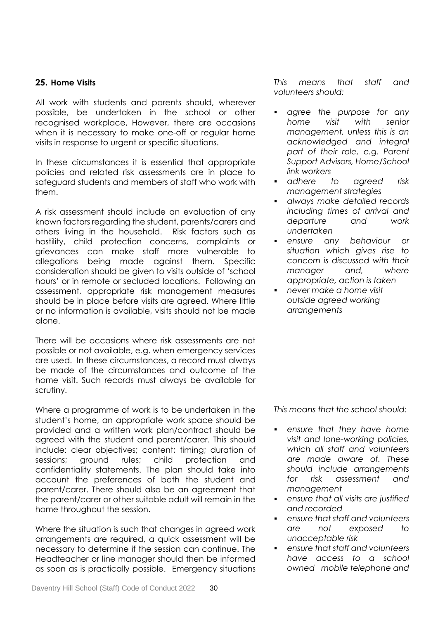## **25. Home Visits**

All work with students and parents should, wherever possible, be undertaken in the school or other recognised workplace, However, there are occasions when it is necessary to make one-off or regular home visits in response to urgent or specific situations.

In these circumstances it is essential that appropriate policies and related risk assessments are in place to safeguard students and members of staff who work with them.

A risk assessment should include an evaluation of any known factors regarding the student, parents/carers and others living in the household. Risk factors such as hostility, child protection concerns, complaints or grievances can make staff more vulnerable to allegations being made against them. Specific consideration should be given to visits outside of 'school hours' or in remote or secluded locations. Following an assessment, appropriate risk management measures should be in place before visits are agreed. Where little or no information is available, visits should not be made alone.

There will be occasions where risk assessments are not possible or not available, e.g. when emergency services are used. In these circumstances, a record must always be made of the circumstances and outcome of the home visit. Such records must always be available for scrutiny.

Where a programme of work is to be undertaken in the student's home, an appropriate work space should be provided and a written work plan/contract should be agreed with the student and parent/carer. This should include: clear objectives; content; timing; duration of sessions; ground rules; child protection and confidentiality statements. The plan should take into account the preferences of both the student and parent/carer. There should also be an agreement that the parent/carer or other suitable adult will remain in the home throughout the session.

Where the situation is such that changes in agreed work arrangements are required, a quick assessment will be necessary to determine if the session can continue. The Headteacher or line manager should then be informed as soon as is practically possible. Emergency situations *This means that staff and volunteers should:* 

- *agree the purpose for any home visit with senior management, unless this is an acknowledged and integral part of their role, e.g. Parent Support Advisors, Home/School link workers*
- *adhere to agreed risk management strategies*
- *always make detailed records including times of arrival and departure and work undertaken*
- *ensure any behaviour or situation which gives rise to concern is discussed with their manager and, where appropriate, action is taken*
- *never make a home visit outside agreed working arrangements*

*This means that the school should:*

- *ensure that they have home visit and lone-working policies, which all staff and volunteers are made aware of. These should include arrangements for risk assessment and management*
- *ensure that all visits are justified and recorded*
- *ensure that staff and volunteers are not exposed to unacceptable risk*
- *ensure that staff and volunteers have access to a school owned mobile telephone and*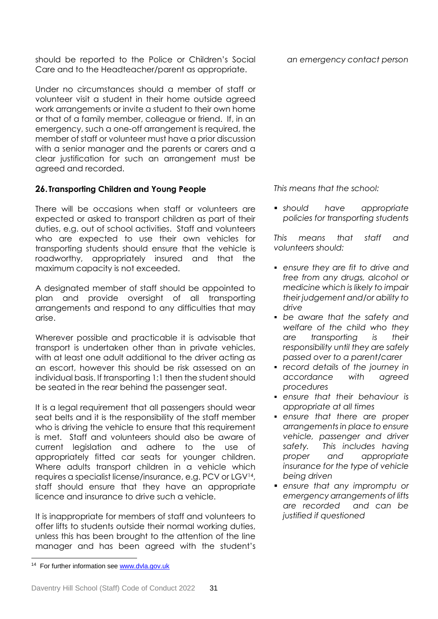should be reported to the Police or Children's Social Care and to the Headteacher/parent as appropriate.

Under no circumstances should a member of staff or volunteer visit a student in their home outside agreed work arrangements or invite a student to their own home or that of a family member, colleague or friend. If, in an emergency, such a one-off arrangement is required, the member of staff or volunteer must have a prior discussion with a senior manager and the parents or carers and a clear justification for such an arrangement must be agreed and recorded.

## **26. Transporting Children and Young People**

There will be occasions when staff or volunteers are expected or asked to transport children as part of their duties, e.g. out of school activities. Staff and volunteers who are expected to use their own vehicles for transporting students should ensure that the vehicle is roadworthy, appropriately insured and that the maximum capacity is not exceeded.

A designated member of staff should be appointed to plan and provide oversight of all transporting arrangements and respond to any difficulties that may arise.

Wherever possible and practicable it is advisable that transport is undertaken other than in private vehicles, with at least one adult additional to the driver acting as an escort, however this should be risk assessed on an individual basis. If transporting 1:1 then the student should be seated in the rear behind the passenger seat.

It is a legal requirement that all passengers should wear seat belts and it is the responsibility of the staff member who is driving the vehicle to ensure that this requirement is met. Staff and volunteers should also be aware of current legislation and adhere to the use of appropriately fitted car seats for younger children. Where adults transport children in a vehicle which requires a specialist license/insurance, e.g. PCV or LGV<sup>14</sup> , staff should ensure that they have an appropriate licence and insurance to drive such a vehicle.

It is inappropriate for members of staff and volunteers to offer lifts to students outside their normal working duties, unless this has been brought to the attention of the line manager and has been agreed with the student's

l

*an emergency contact person* 

*This means that the school:*

 *should have appropriate policies for transporting students* 

*This means that staff and volunteers should:*

- *ensure they are fit to drive and free from any drugs, alcohol or medicine which is likely to impair their judgement and/or ability to drive*
- *be aware that the safety and welfare of the child who they are transporting is their responsibility until they are safely passed over to a parent/carer*
- *record details of the journey in accordance with agreed procedures*
- *ensure that their behaviour is appropriate at all times*
- *ensure that there are proper arrangements in place to ensure vehicle, passenger and driver safety. This includes having proper and appropriate insurance for the type of vehicle being driven*
- *ensure that any impromptu or emergency arrangements of lifts are recorded and can be justified if questioned*

<sup>&</sup>lt;sup>14</sup> For further information see [www.dvla.gov.uk](http://www.dvla.gov.uk/)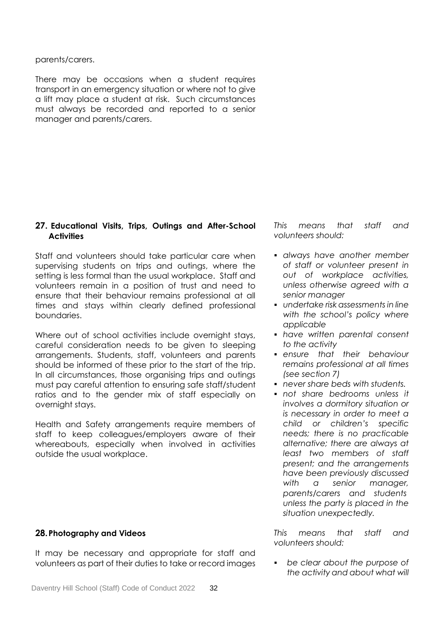parents/carers.

There may be occasions when a student requires transport in an emergency situation or where not to give a lift may place a student at risk. Such circumstances must always be recorded and reported to a senior manager and parents/carers.

## **27. Educational Visits, Trips, Outings and After-School Activities**

Staff and volunteers should take particular care when supervising students on trips and outings, where the setting is less formal than the usual workplace. Staff and volunteers remain in a position of trust and need to ensure that their behaviour remains professional at all times and stays within clearly defined professional boundaries.

Where out of school activities include overnight stays, careful consideration needs to be given to sleeping arrangements. Students, staff, volunteers and parents should be informed of these prior to the start of the trip. In all circumstances, those organising trips and outings must pay careful attention to ensuring safe staff/student ratios and to the gender mix of staff especially on overnight stays.

Health and Safety arrangements require members of staff to keep colleagues/employers aware of their whereabouts, especially when involved in activities outside the usual workplace.

#### **28.Photography and Videos**

It may be necessary and appropriate for staff and volunteers as part of their duties to take or record images *This means that staff and volunteers should:*

- *always have another member of staff or volunteer present in out of workplace activities, unless otherwise agreed with a senior manager*
- *undertake risk assessments in line with the school's policy where applicable*
- *have written parental consent to the activity*
- *ensure that their behaviour remains professional at all times (see section 7)*
- *never share beds with students.*
- *not share bedrooms unless it involves a dormitory situation or is necessary in order to meet a child or children's specific needs; there is no practicable alternative; there are always at least two members of staff present; and the arrangements have been previously discussed with a senior manager, parents/carers and students unless the party is placed in the situation unexpectedly.*

*This means that staff and volunteers should:*

 *be clear about the purpose of the activity and about what will*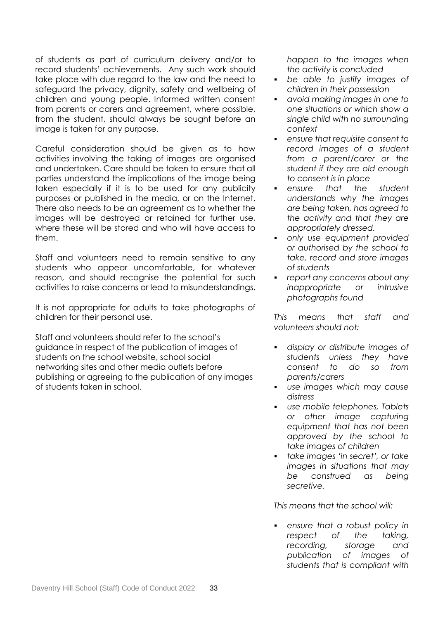of students as part of curriculum delivery and/or to record students' achievements. Any such work should take place with due regard to the law and the need to safeguard the privacy, dignity, safety and wellbeing of children and young people. Informed written consent from parents or carers and agreement, where possible, from the student, should always be sought before an image is taken for any purpose.

Careful consideration should be given as to how activities involving the taking of images are organised and undertaken. Care should be taken to ensure that all parties understand the implications of the image being taken especially if it is to be used for any publicity purposes or published in the media, or on the Internet. There also needs to be an agreement as to whether the images will be destroyed or retained for further use, where these will be stored and who will have access to them.

Staff and volunteers need to remain sensitive to any students who appear uncomfortable, for whatever reason, and should recognise the potential for such activities to raise concerns or lead to misunderstandings.

It is not appropriate for adults to take photographs of children for their personal use.

Staff and volunteers should refer to the school's guidance in respect of the publication of images of students on the school website, school social networking sites and other media outlets before publishing or agreeing to the publication of any images of students taken in school.

*happen to the images when the activity is concluded*

- *be able to justify images of children in their possession*
- *avoid making images in one to one situations or which show a single child with no surrounding context*
- *ensure that requisite consent to record images of a student from a parent/carer or the student if they are old enough to consent is in place*
- *ensure that the student understands why the images are being taken, has agreed to the activity and that they are appropriately dressed.*
- *only use equipment provided or authorised by the school to take, record and store images of students*
- *report any concerns about any inappropriate or intrusive photographs found*

*This means that staff and volunteers should not:*

- *display or distribute images of students unless they have consent to do so from parents/carers*
- *use images which may cause distress*
- *use mobile telephones, Tablets or other image capturing equipment that has not been approved by the school to take images of children*
- *take images 'in secret', or take images in situations that may be construed as being secretive.*

*This means that the school will:* 

 *ensure that a robust policy in respect of the taking, recording, storage and publication of images of students that is compliant with*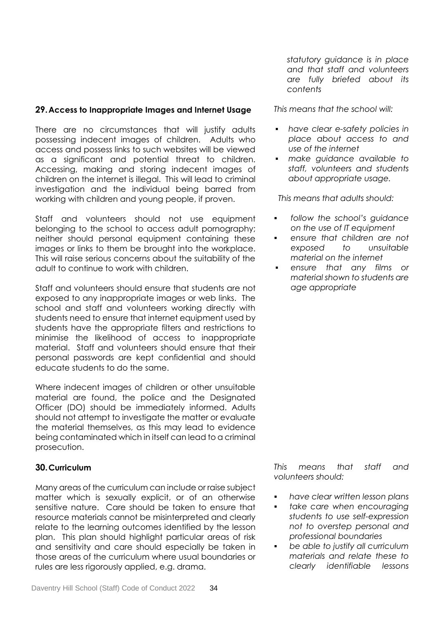## **29.Access to Inappropriate Images and Internet Usage**

There are no circumstances that will justify adults possessing indecent images of children. Adults who access and possess links to such websites will be viewed as a significant and potential threat to children. Accessing, making and storing indecent images of children on the internet is illegal. This will lead to criminal investigation and the individual being barred from working with children and young people, if proven.

Staff and volunteers should not use equipment belonging to the school to access adult pornography; neither should personal equipment containing these images or links to them be brought into the workplace. This will raise serious concerns about the suitability of the adult to continue to work with children.

Staff and volunteers should ensure that students are not exposed to any inappropriate images or web links. The school and staff and volunteers working directly with students need to ensure that internet equipment used by students have the appropriate filters and restrictions to minimise the likelihood of access to inappropriate material. Staff and volunteers should ensure that their personal passwords are kept confidential and should educate students to do the same.

Where indecent images of children or other unsuitable material are found, the police and the Designated Officer (DO) should be immediately informed. Adults should not attempt to investigate the matter or evaluate the material themselves, as this may lead to evidence being contaminated which in itself can lead to a criminal prosecution.

## **30.Curriculum**

Many areas of the curriculum can include or raise subject matter which is sexually explicit, or of an otherwise sensitive nature. Care should be taken to ensure that resource materials cannot be misinterpreted and clearly relate to the learning outcomes identified by the lesson plan. This plan should highlight particular areas of risk and sensitivity and care should especially be taken in those areas of the curriculum where usual boundaries or rules are less rigorously applied, e.g. drama.

*statutory guidance is in place and that staff and volunteers are fully briefed about its contents*

*This means that the school will:*

- *have clear e-safety policies in place about access to and use of the internet*
- *make guidance available to staff, volunteers and students about appropriate usage.*

*This means that adults should:*

- *follow the school's guidance on the use of IT equipment*
- *ensure that children are not exposed to unsuitable material on the internet*
- *ensure that any films or material shown to students are age appropriate*

*This means that staff and volunteers should:*

- *have clear written lesson plans*
- *take care when encouraging students to use self-expression not to overstep personal and professional boundaries*
- *be able to justify all curriculum materials and relate these to clearly identifiable lessons*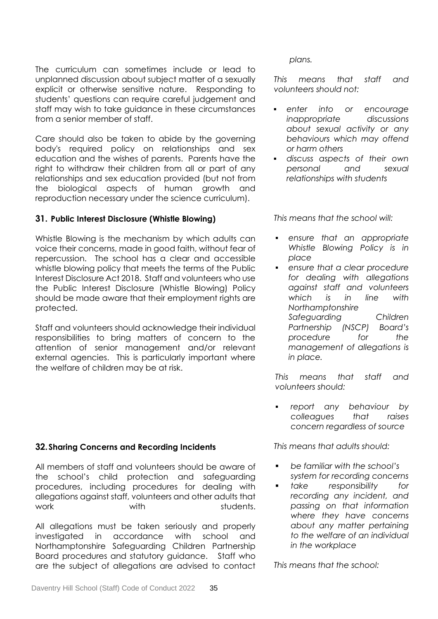The curriculum can sometimes include or lead to unplanned discussion about subject matter of a sexually explicit or otherwise sensitive nature. Responding to students' questions can require careful judgement and staff may wish to take guidance in these circumstances from a senior member of staff.

Care should also be taken to abide by the governing body's required policy on relationships and sex education and the wishes of parents. Parents have the right to withdraw their children from all or part of any relationships and sex education provided (but not from the biological aspects of human growth and reproduction necessary under the science curriculum).

## **31. Public Interest Disclosure (Whistle Blowing)**

Whistle Blowing is the mechanism by which adults can voice their concerns, made in good faith, without fear of repercussion. The school has a clear and accessible whistle blowing policy that meets the terms of the Public Interest Disclosure Act 2018. Staff and volunteers who use the Public Interest Disclosure (Whistle Blowing) Policy should be made aware that their employment rights are protected.

Staff and volunteers should acknowledge their individual responsibilities to bring matters of concern to the attention of senior management and/or relevant external agencies. This is particularly important where the welfare of children may be at risk.

## **32.Sharing Concerns and Recording Incidents**

All members of staff and volunteers should be aware of the school's child protection and safeguarding procedures, including procedures for dealing with allegations against staff, volunteers and other adults that work with with students.

All allegations must be taken seriously and properly investigated in accordance with school and Northamptonshire Safeguarding Children Partnership Board procedures and statutory guidance. Staff who are the subject of allegations are advised to contact

*plans.*

*This means that staff and volunteers should not:*

- *enter into or encourage inappropriate discussions about sexual activity or any behaviours which may offend or harm others*
- *discuss aspects of their own personal and sexual relationships with students*

*This means that the school will:*

- *ensure that an appropriate Whistle Blowing Policy is in place*
- *ensure that a clear procedure for dealing with allegations against staff and volunteers which is in line with Northamptonshire Safeguarding Children Partnership (NSCP) Board's procedure for the management of allegations is in place.*

*This means that staff and volunteers should:*

 *report any behaviour by colleagues that raises concern regardless of source*

*This means that adults should:*

- *be familiar with the school's system for recording concerns*
- *take responsibility for recording any incident, and passing on that information where they have concerns about any matter pertaining to the welfare of an individual in the workplace*

*This means that the school:*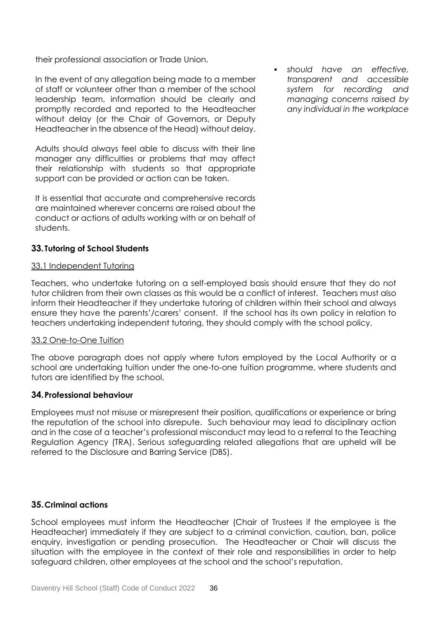their professional association or Trade Union.

In the event of any allegation being made to a member of staff or volunteer other than a member of the school leadership team, information should be clearly and promptly recorded and reported to the Headteacher without delay (or the Chair of Governors, or Deputy Headteacher in the absence of the Head) without delay.

Adults should always feel able to discuss with their line manager any difficulties or problems that may affect their relationship with students so that appropriate support can be provided or action can be taken.

It is essential that accurate and comprehensive records are maintained wherever concerns are raised about the conduct or actions of adults working with or on behalf of students.

## **33. Tutoring of School Students**

## 33.1 Independent Tutoring

Teachers, who undertake tutoring on a self-employed basis should ensure that they do not tutor children from their own classes as this would be a conflict of interest. Teachers must also inform their Headteacher if they undertake tutoring of children within their school and always ensure they have the parents'/carers' consent. If the school has its own policy in relation to teachers undertaking independent tutoring, they should comply with the school policy.

## 33.2 One-to-One Tuition

The above paragraph does not apply where tutors employed by the Local Authority or a school are undertaking tuition under the one-to-one tuition programme, where students and tutors are identified by the school.

## **34.Professional behaviour**

Employees must not misuse or misrepresent their position, qualifications or experience or bring the reputation of the school into disrepute. Such behaviour may lead to disciplinary action and in the case of a teacher's professional misconduct may lead to a referral to the Teaching Regulation Agency (TRA). Serious safeguarding related allegations that are upheld will be referred to the Disclosure and Barring Service (DBS).

## **35.Criminal actions**

School employees must inform the Headteacher (Chair of Trustees if the employee is the Headteacher) immediately if they are subject to a criminal conviction, caution, ban, police enquiry, investigation or pending prosecution. The Headteacher or Chair will discuss the situation with the employee in the context of their role and responsibilities in order to help safeguard children, other employees at the school and the school's reputation.

 *should have an effective, transparent and accessible system for recording and managing concerns raised by any individual in the workplace*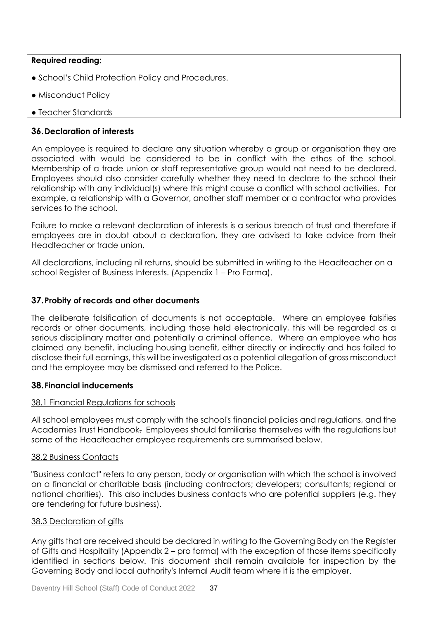## **Required reading:**

- School's Child Protection Policy and Procedures.
- Misconduct Policy
- Teacher Standards

## **36.Declaration of interests**

An employee is required to declare any situation whereby a group or organisation they are associated with would be considered to be in conflict with the ethos of the school. Membership of a trade union or staff representative group would not need to be declared. Employees should also consider carefully whether they need to declare to the school their relationship with any individual(s) where this might cause a conflict with school activities. For example, a relationship with a Governor, another staff member or a contractor who provides services to the school.

Failure to make a relevant declaration of interests is a serious breach of trust and therefore if employees are in doubt about a declaration, they are advised to take advice from their Headteacher or trade union.

All declarations, including nil returns, should be submitted in writing to the Headteacher on a school Register of Business Interests. (Appendix 1 – Pro Forma).

## **37.Probity of records and other documents**

The deliberate falsification of documents is not acceptable. Where an employee falsifies records or other documents, including those held electronically, this will be regarded as a serious disciplinary matter and potentially a criminal offence. Where an employee who has claimed any benefit, including housing benefit, either directly or indirectly and has failed to disclose their full earnings, this will be investigated as a potential allegation of gross misconduct and the employee may be dismissed and referred to the Police.

## **38.Financial inducements**

## 38.1 Financial Regulations for schools

All school employees must comply with the school's financial policies and regulations, and the Academies Trust Handbook. Employees should familiarise themselves with the regulations but some of the Headteacher employee requirements are summarised below.

## 38.2 Business Contacts

"Business contact" refers to any person, body or organisation with which the school is involved on a financial or charitable basis (including contractors; developers; consultants; regional or national charities). This also includes business contacts who are potential suppliers (e.g. they are tendering for future business).

#### 38.3 Declaration of gifts

Any gifts that are received should be declared in writing to the Governing Body on the Register of Gifts and Hospitality (Appendix 2 – pro forma) with the exception of those items specifically identified in sections below. This document shall remain available for inspection by the Governing Body and local authority's Internal Audit team where it is the employer.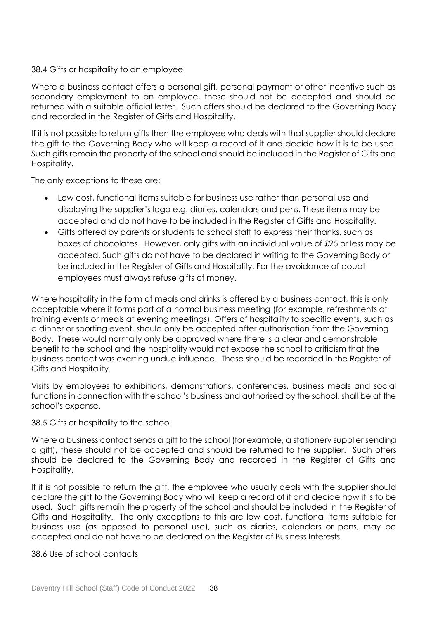## 38.4 Gifts or hospitality to an employee

Where a business contact offers a personal gift, personal payment or other incentive such as secondary employment to an employee, these should not be accepted and should be returned with a suitable official letter. Such offers should be declared to the Governing Body and recorded in the Register of Gifts and Hospitality.

If it is not possible to return gifts then the employee who deals with that supplier should declare the gift to the Governing Body who will keep a record of it and decide how it is to be used. Such gifts remain the property of the school and should be included in the Register of Gifts and Hospitality.

The only exceptions to these are:

- Low cost, functional items suitable for business use rather than personal use and displaying the supplier's logo e.g. diaries, calendars and pens. These items may be accepted and do not have to be included in the Register of Gifts and Hospitality.
- Gifts offered by parents or students to school staff to express their thanks, such as boxes of chocolates. However, only gifts with an individual value of £25 or less may be accepted. Such gifts do not have to be declared in writing to the Governing Body or be included in the Register of Gifts and Hospitality. For the avoidance of doubt employees must always refuse gifts of money.

Where hospitality in the form of meals and drinks is offered by a business contact, this is only acceptable where it forms part of a normal business meeting (for example, refreshments at training events or meals at evening meetings). Offers of hospitality to specific events, such as a dinner or sporting event, should only be accepted after authorisation from the Governing Body. These would normally only be approved where there is a clear and demonstrable benefit to the school and the hospitality would not expose the school to criticism that the business contact was exerting undue influence. These should be recorded in the Register of Gifts and Hospitality.

Visits by employees to exhibitions, demonstrations, conferences, business meals and social functions in connection with the school's business and authorised by the school, shall be at the school's expense.

#### 38.5 Gifts or hospitality to the school

Where a business contact sends a gift to the school (for example, a stationery supplier sending a gift), these should not be accepted and should be returned to the supplier. Such offers should be declared to the Governing Body and recorded in the Register of Gifts and Hospitality.

If it is not possible to return the gift, the employee who usually deals with the supplier should declare the gift to the Governing Body who will keep a record of it and decide how it is to be used. Such gifts remain the property of the school and should be included in the Register of Gifts and Hospitality. The only exceptions to this are low cost, functional items suitable for business use (as opposed to personal use), such as diaries, calendars or pens, may be accepted and do not have to be declared on the Register of Business Interests.

#### 38.6 Use of school contacts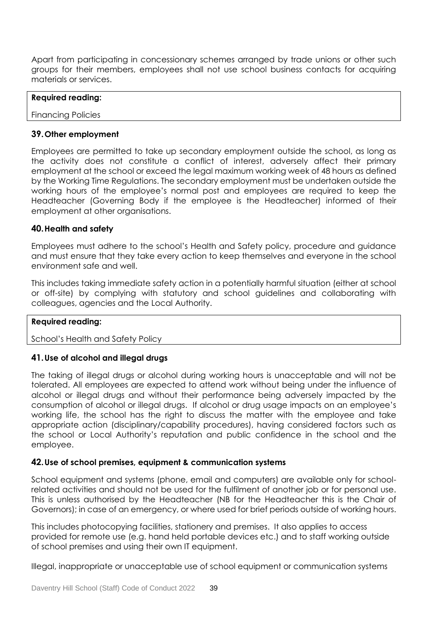Apart from participating in concessionary schemes arranged by trade unions or other such groups for their members, employees shall not use school business contacts for acquiring materials or services.

| <b>Required reading:</b>  |  |  |
|---------------------------|--|--|
| <b>Financing Policies</b> |  |  |

## **39.Other employment**

Employees are permitted to take up secondary employment outside the school, as long as the activity does not constitute a conflict of interest, adversely affect their primary employment at the school or exceed the legal maximum working week of 48 hours as defined by the Working Time Regulations. The secondary employment must be undertaken outside the working hours of the employee's normal post and employees are required to keep the Headteacher (Governing Body if the employee is the Headteacher) informed of their employment at other organisations.

## **40.Health and safety**

Employees must adhere to the school's Health and Safety policy, procedure and guidance and must ensure that they take every action to keep themselves and everyone in the school environment safe and well.

This includes taking immediate safety action in a potentially harmful situation (either at school or off-site) by complying with statutory and school guidelines and collaborating with colleagues, agencies and the Local Authority.

#### **Required reading:**

School's Health and Safety Policy

## **41.Use of alcohol and illegal drugs**

The taking of illegal drugs or alcohol during working hours is unacceptable and will not be tolerated. All employees are expected to attend work without being under the influence of alcohol or illegal drugs and without their performance being adversely impacted by the consumption of alcohol or illegal drugs. If alcohol or drug usage impacts on an employee's working life, the school has the right to discuss the matter with the employee and take appropriate action (disciplinary/capability procedures), having considered factors such as the school or Local Authority's reputation and public confidence in the school and the employee.

#### **42.Use of school premises, equipment & communication systems**

School equipment and systems (phone, email and computers) are available only for schoolrelated activities and should not be used for the fulfilment of another job or for personal use. This is unless authorised by the Headteacher (NB for the Headteacher this is the Chair of Governors); in case of an emergency, or where used for brief periods outside of working hours.

This includes photocopying facilities, stationery and premises. It also applies to access provided for remote use (e.g. hand held portable devices etc.) and to staff working outside of school premises and using their own IT equipment.

Illegal, inappropriate or unacceptable use of school equipment or communication systems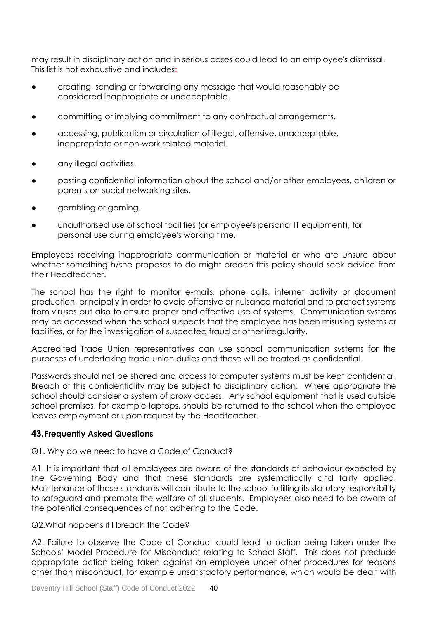may result in disciplinary action and in serious cases could lead to an employee's dismissal. This list is not exhaustive and includes:

- creating, sending or forwarding any message that would reasonably be considered inappropriate or unacceptable.
- committing or implying commitment to any contractual arrangements.
- accessing, publication or circulation of illegal, offensive, unacceptable, inappropriate or non-work related material.
- any illegal activities.
- posting confidential information about the school and/or other employees, children or parents on social networking sites.
- aambling or gaming.
- unauthorised use of school facilities (or employee's personal IT equipment), for personal use during employee's working time.

Employees receiving inappropriate communication or material or who are unsure about whether something h/she proposes to do might breach this policy should seek advice from their Headteacher.

The school has the right to monitor e-mails, phone calls, internet activity or document production, principally in order to avoid offensive or nuisance material and to protect systems from viruses but also to ensure proper and effective use of systems. Communication systems may be accessed when the school suspects that the employee has been misusing systems or facilities, or for the investigation of suspected fraud or other irregularity.

Accredited Trade Union representatives can use school communication systems for the purposes of undertaking trade union duties and these will be treated as confidential.

Passwords should not be shared and access to computer systems must be kept confidential. Breach of this confidentiality may be subject to disciplinary action. Where appropriate the school should consider a system of proxy access. Any school equipment that is used outside school premises, for example laptops, should be returned to the school when the employee leaves employment or upon request by the Headteacher.

## **43.Frequently Asked Questions**

#### Q1. Why do we need to have a Code of Conduct?

A1. It is important that all employees are aware of the standards of behaviour expected by the Governing Body and that these standards are systematically and fairly applied. Maintenance of those standards will contribute to the school fulfilling its statutory responsibility to safeguard and promote the welfare of all students. Employees also need to be aware of the potential consequences of not adhering to the Code.

#### Q2.What happens if I breach the Code?

A2. Failure to observe the Code of Conduct could lead to action being taken under the Schools' Model Procedure for Misconduct relating to School Staff. This does not preclude appropriate action being taken against an employee under other procedures for reasons other than misconduct, for example unsatisfactory performance, which would be dealt with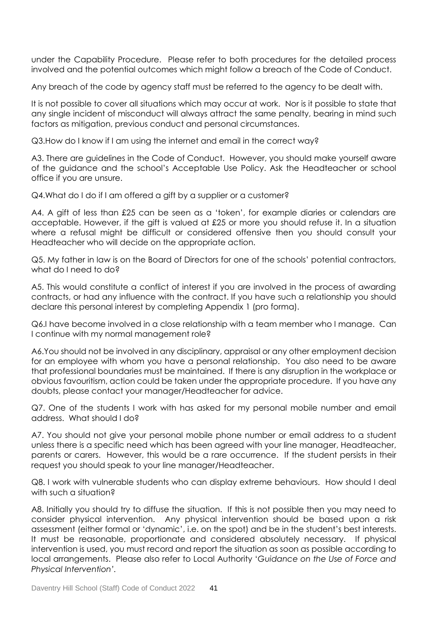under the Capability Procedure. Please refer to both procedures for the detailed process involved and the potential outcomes which might follow a breach of the Code of Conduct.

Any breach of the code by agency staff must be referred to the agency to be dealt with.

It is not possible to cover all situations which may occur at work. Nor is it possible to state that any single incident of misconduct will always attract the same penalty, bearing in mind such factors as mitigation, previous conduct and personal circumstances.

Q3.How do I know if I am using the internet and email in the correct way?

A3. There are guidelines in the Code of Conduct. However, you should make yourself aware of the guidance and the school's Acceptable Use Policy. Ask the Headteacher or school office if you are unsure.

Q4.What do I do if I am offered a gift by a supplier or a customer?

A4. A gift of less than £25 can be seen as a 'token', for example diaries or calendars are acceptable. However, if the gift is valued at £25 or more you should refuse it. In a situation where a refusal might be difficult or considered offensive then you should consult your Headteacher who will decide on the appropriate action.

Q5. My father in law is on the Board of Directors for one of the schools' potential contractors, what do I need to do?

A5. This would constitute a conflict of interest if you are involved in the process of awarding contracts, or had any influence with the contract. If you have such a relationship you should declare this personal interest by completing Appendix 1 (pro forma).

Q6.I have become involved in a close relationship with a team member who I manage. Can I continue with my normal management role?

A6.You should not be involved in any disciplinary, appraisal or any other employment decision for an employee with whom you have a personal relationship. You also need to be aware that professional boundaries must be maintained. If there is any disruption in the workplace or obvious favouritism, action could be taken under the appropriate procedure. If you have any doubts, please contact your manager/Headteacher for advice.

Q7. One of the students I work with has asked for my personal mobile number and email address. What should I do?

A7. You should not give your personal mobile phone number or email address to a student unless there is a specific need which has been agreed with your line manager, Headteacher, parents or carers. However, this would be a rare occurrence. If the student persists in their request you should speak to your line manager/Headteacher.

Q8. I work with vulnerable students who can display extreme behaviours. How should I deal with such a situation?

A8. Initially you should try to diffuse the situation. If this is not possible then you may need to consider physical intervention. Any physical intervention should be based upon a risk assessment (either formal or 'dynamic', i.e. on the spot) and be in the student's best interests. It must be reasonable, proportionate and considered absolutely necessary. If physical intervention is used, you must record and report the situation as soon as possible according to local arrangements. Please also refer to Local Authority '*Guidance on the Use of Force and Physical Intervention'.*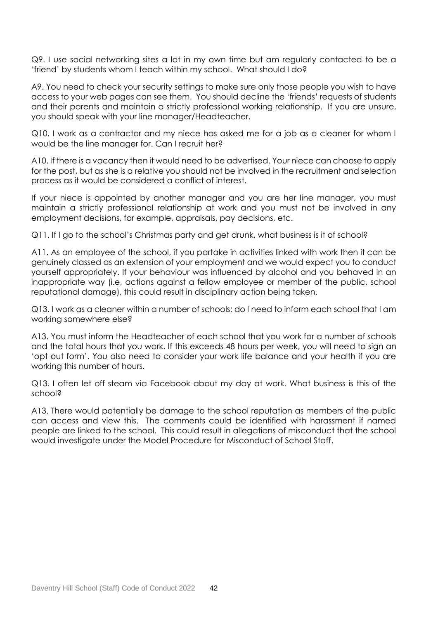Q9. I use social networking sites a lot in my own time but am regularly contacted to be a 'friend' by students whom I teach within my school. What should I do?

A9. You need to check your security settings to make sure only those people you wish to have access to your web pages can see them. You should decline the 'friends' requests of students and their parents and maintain a strictly professional working relationship. If you are unsure, you should speak with your line manager/Headteacher.

Q10. I work as a contractor and my niece has asked me for a job as a cleaner for whom I would be the line manager for. Can I recruit her?

A10. If there is a vacancy then it would need to be advertised. Your niece can choose to apply for the post, but as she is a relative you should not be involved in the recruitment and selection process as it would be considered a conflict of interest.

If your niece is appointed by another manager and you are her line manager, you must maintain a strictly professional relationship at work and you must not be involved in any employment decisions, for example, appraisals, pay decisions, etc.

Q11. If I go to the school's Christmas party and get drunk, what business is it of school?

A11. As an employee of the school, if you partake in activities linked with work then it can be genuinely classed as an extension of your employment and we would expect you to conduct yourself appropriately. If your behaviour was influenced by alcohol and you behaved in an inappropriate way (i.e, actions against a fellow employee or member of the public, school reputational damage), this could result in disciplinary action being taken.

Q13. I work as a cleaner within a number of schools; do I need to inform each school that I am working somewhere else?

A13. You must inform the Headteacher of each school that you work for a number of schools and the total hours that you work. If this exceeds 48 hours per week, you will need to sign an 'opt out form'. You also need to consider your work life balance and your health if you are working this number of hours.

Q13. I often let off steam via Facebook about my day at work. What business is this of the school?

A13. There would potentially be damage to the school reputation as members of the public can access and view this. The comments could be identified with harassment if named people are linked to the school. This could result in allegations of misconduct that the school would investigate under the Model Procedure for Misconduct of School Staff.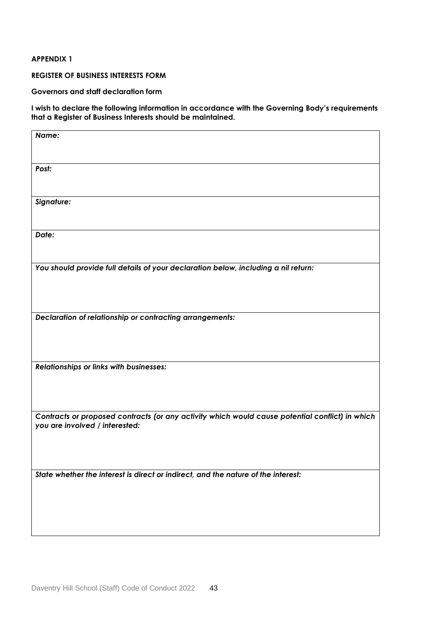#### **APPENDIX 1**

#### **REGISTER OF BUSINESS INTERESTS FORM**

**Governors and staff declaration form**

**I wish to declare the following information in accordance with the Governing Body's requirements that a Register of Business Interests should be maintained.**

| Name:<br>Post:<br>Signature:<br>Date:<br>You should provide full details of your declaration below, including a nil return:<br><b>Declaration of relationship or contracting arrangements:</b><br>Relationships or links with businesses:<br>Contracts or proposed contracts (or any activity which would cause potential conflict) in which<br>you are involved / interested:<br>State whether the interest is direct or indirect, and the nature of the interest: |  |
|---------------------------------------------------------------------------------------------------------------------------------------------------------------------------------------------------------------------------------------------------------------------------------------------------------------------------------------------------------------------------------------------------------------------------------------------------------------------|--|
|                                                                                                                                                                                                                                                                                                                                                                                                                                                                     |  |
|                                                                                                                                                                                                                                                                                                                                                                                                                                                                     |  |
|                                                                                                                                                                                                                                                                                                                                                                                                                                                                     |  |
|                                                                                                                                                                                                                                                                                                                                                                                                                                                                     |  |
|                                                                                                                                                                                                                                                                                                                                                                                                                                                                     |  |
|                                                                                                                                                                                                                                                                                                                                                                                                                                                                     |  |
|                                                                                                                                                                                                                                                                                                                                                                                                                                                                     |  |
|                                                                                                                                                                                                                                                                                                                                                                                                                                                                     |  |
|                                                                                                                                                                                                                                                                                                                                                                                                                                                                     |  |
|                                                                                                                                                                                                                                                                                                                                                                                                                                                                     |  |
|                                                                                                                                                                                                                                                                                                                                                                                                                                                                     |  |
|                                                                                                                                                                                                                                                                                                                                                                                                                                                                     |  |
|                                                                                                                                                                                                                                                                                                                                                                                                                                                                     |  |
|                                                                                                                                                                                                                                                                                                                                                                                                                                                                     |  |
|                                                                                                                                                                                                                                                                                                                                                                                                                                                                     |  |
|                                                                                                                                                                                                                                                                                                                                                                                                                                                                     |  |
|                                                                                                                                                                                                                                                                                                                                                                                                                                                                     |  |
|                                                                                                                                                                                                                                                                                                                                                                                                                                                                     |  |
|                                                                                                                                                                                                                                                                                                                                                                                                                                                                     |  |
|                                                                                                                                                                                                                                                                                                                                                                                                                                                                     |  |
|                                                                                                                                                                                                                                                                                                                                                                                                                                                                     |  |
|                                                                                                                                                                                                                                                                                                                                                                                                                                                                     |  |
|                                                                                                                                                                                                                                                                                                                                                                                                                                                                     |  |
|                                                                                                                                                                                                                                                                                                                                                                                                                                                                     |  |
|                                                                                                                                                                                                                                                                                                                                                                                                                                                                     |  |
|                                                                                                                                                                                                                                                                                                                                                                                                                                                                     |  |
|                                                                                                                                                                                                                                                                                                                                                                                                                                                                     |  |
|                                                                                                                                                                                                                                                                                                                                                                                                                                                                     |  |
|                                                                                                                                                                                                                                                                                                                                                                                                                                                                     |  |
|                                                                                                                                                                                                                                                                                                                                                                                                                                                                     |  |
|                                                                                                                                                                                                                                                                                                                                                                                                                                                                     |  |
|                                                                                                                                                                                                                                                                                                                                                                                                                                                                     |  |
|                                                                                                                                                                                                                                                                                                                                                                                                                                                                     |  |
|                                                                                                                                                                                                                                                                                                                                                                                                                                                                     |  |
|                                                                                                                                                                                                                                                                                                                                                                                                                                                                     |  |
|                                                                                                                                                                                                                                                                                                                                                                                                                                                                     |  |
|                                                                                                                                                                                                                                                                                                                                                                                                                                                                     |  |
|                                                                                                                                                                                                                                                                                                                                                                                                                                                                     |  |
|                                                                                                                                                                                                                                                                                                                                                                                                                                                                     |  |
|                                                                                                                                                                                                                                                                                                                                                                                                                                                                     |  |
|                                                                                                                                                                                                                                                                                                                                                                                                                                                                     |  |
|                                                                                                                                                                                                                                                                                                                                                                                                                                                                     |  |
|                                                                                                                                                                                                                                                                                                                                                                                                                                                                     |  |
|                                                                                                                                                                                                                                                                                                                                                                                                                                                                     |  |
|                                                                                                                                                                                                                                                                                                                                                                                                                                                                     |  |
|                                                                                                                                                                                                                                                                                                                                                                                                                                                                     |  |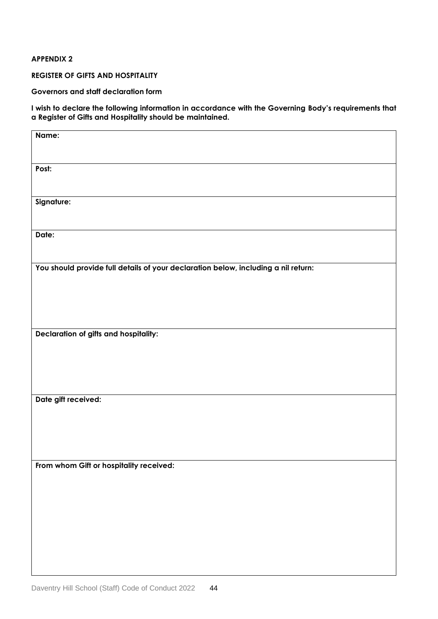#### **APPENDIX 2**

**REGISTER OF GIFTS AND HOSPITALITY**

**Governors and staff declaration form**

**I wish to declare the following information in accordance with the Governing Body's requirements that a Register of Gifts and Hospitality should be maintained.**

| Name:                                                                              |
|------------------------------------------------------------------------------------|
| Post:                                                                              |
| Signature:                                                                         |
| Date:                                                                              |
| You should provide full details of your declaration below, including a nil return: |
| Declaration of gifts and hospitality:                                              |
| Date gift received:                                                                |
| From whom Gift or hospitality received:                                            |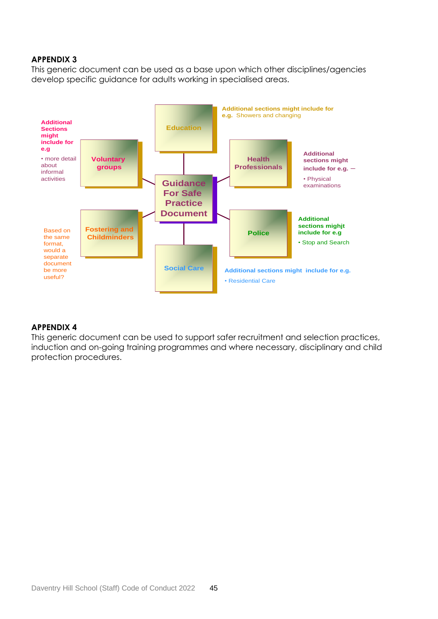## **APPENDIX 3**

This generic document can be used as a base upon which other disciplines/agencies develop specific guidance for adults working in specialised areas.



#### **APPENDIX 4**

This generic document can be used to support safer recruitment and selection practices, induction and on-going training programmes and where necessary, disciplinary and child protection procedures.